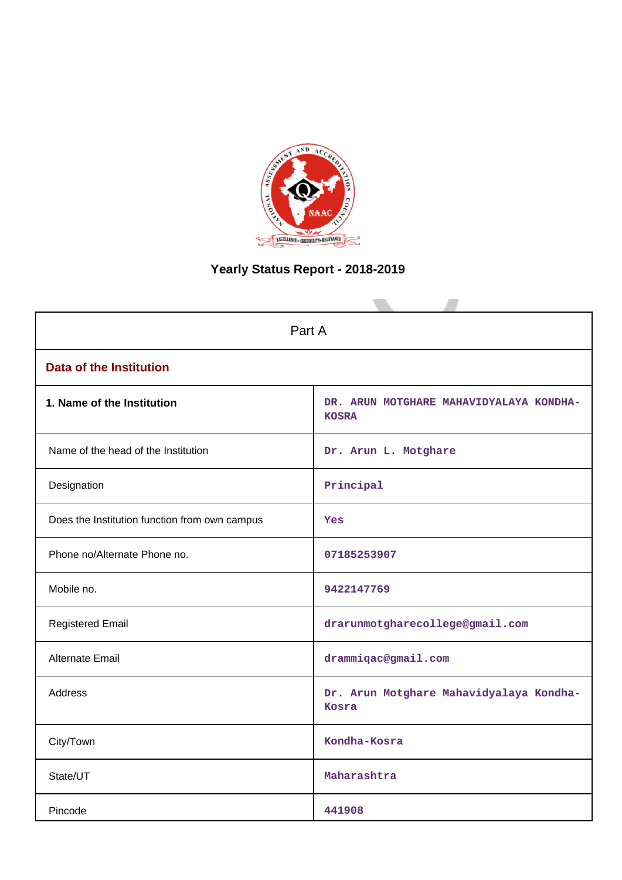

# **Yearly Status Report - 2018-2019**

| Part A                                        |                                                         |  |  |  |  |
|-----------------------------------------------|---------------------------------------------------------|--|--|--|--|
| <b>Data of the Institution</b>                |                                                         |  |  |  |  |
| 1. Name of the Institution                    | DR. ARUN MOTGHARE MAHAVIDYALAYA KONDHA-<br><b>KOSRA</b> |  |  |  |  |
| Name of the head of the Institution           | Dr. Arun L. Motghare                                    |  |  |  |  |
| Designation                                   | $\texttt{Principal}$                                    |  |  |  |  |
| Does the Institution function from own campus | Yes                                                     |  |  |  |  |
| Phone no/Alternate Phone no.                  | 07185253907                                             |  |  |  |  |
| Mobile no.                                    | 9422147769                                              |  |  |  |  |
| <b>Registered Email</b>                       | drarunmotgharecollege@gmail.com                         |  |  |  |  |
| Alternate Email                               | drammiqac@gmail.com                                     |  |  |  |  |
| <b>Address</b>                                | Dr. Arun Motghare Mahavidyalaya Kondha-<br>Kosra        |  |  |  |  |
| City/Town                                     | Kondha-Kosra                                            |  |  |  |  |
| State/UT                                      | Maharashtra                                             |  |  |  |  |
| Pincode                                       | 441908                                                  |  |  |  |  |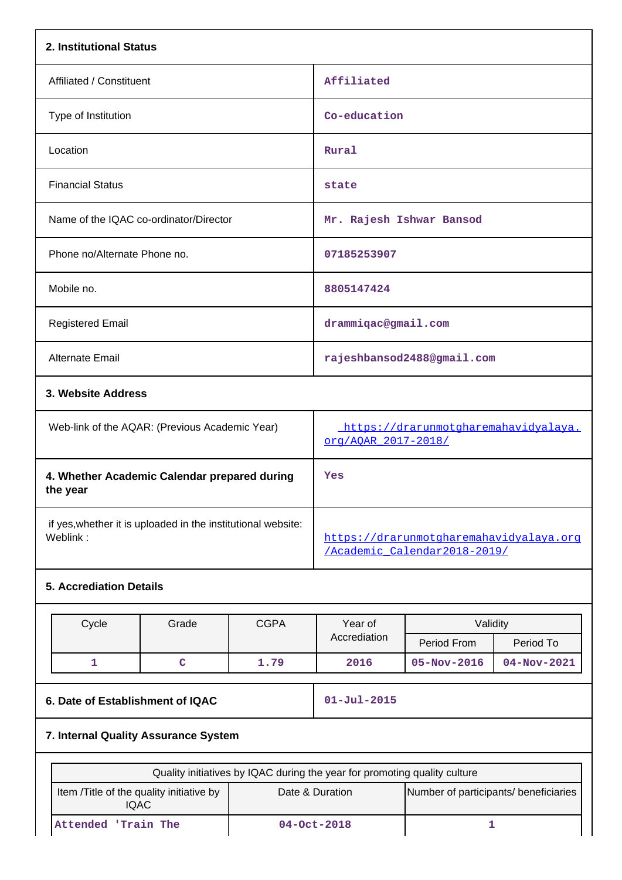| 2. Institutional Status                                                  |                                      |             |                                                                                                                                       |                            |             |  |  |  |
|--------------------------------------------------------------------------|--------------------------------------|-------------|---------------------------------------------------------------------------------------------------------------------------------------|----------------------------|-------------|--|--|--|
| Affiliated / Constituent                                                 |                                      |             | Affiliated                                                                                                                            |                            |             |  |  |  |
| Type of Institution                                                      |                                      |             | Co-education                                                                                                                          |                            |             |  |  |  |
| Location                                                                 |                                      |             | Rural                                                                                                                                 |                            |             |  |  |  |
| <b>Financial Status</b>                                                  |                                      |             | state                                                                                                                                 |                            |             |  |  |  |
| Name of the IQAC co-ordinator/Director                                   |                                      |             | Mr. Rajesh Ishwar Bansod                                                                                                              |                            |             |  |  |  |
| Phone no/Alternate Phone no.                                             |                                      |             | 07185253907                                                                                                                           |                            |             |  |  |  |
| Mobile no.                                                               |                                      |             | 8805147424                                                                                                                            |                            |             |  |  |  |
| <b>Registered Email</b>                                                  |                                      |             | drammiqac@gmail.com                                                                                                                   |                            |             |  |  |  |
| <b>Alternate Email</b>                                                   |                                      |             |                                                                                                                                       | rajeshbansod2488@gmail.com |             |  |  |  |
|                                                                          | 3. Website Address                   |             |                                                                                                                                       |                            |             |  |  |  |
| Web-link of the AQAR: (Previous Academic Year)                           |                                      |             | https://drarunmotgharemahavidyalaya.<br>org/AQAR_2017-2018/                                                                           |                            |             |  |  |  |
| 4. Whether Academic Calendar prepared during<br>the year                 |                                      |             | Yes                                                                                                                                   |                            |             |  |  |  |
| if yes, whether it is uploaded in the institutional website:<br>Weblink: |                                      |             | https://drarunmotgharemahavidyalaya.org<br>/Academic Calendar2018-2019/                                                               |                            |             |  |  |  |
| <b>5. Accrediation Details</b>                                           |                                      |             |                                                                                                                                       |                            |             |  |  |  |
| Cycle                                                                    | Grade                                | <b>CGPA</b> | Year of                                                                                                                               | Validity                   |             |  |  |  |
|                                                                          |                                      |             | Accrediation                                                                                                                          | Period From                | Period To   |  |  |  |
| $\mathbf{1}$                                                             | $\mathbf C$                          | 1.79        | 2016                                                                                                                                  | $05 - Nov - 2016$          | 04-Nov-2021 |  |  |  |
| 6. Date of Establishment of IQAC                                         |                                      |             | $01 - Jul - 2015$                                                                                                                     |                            |             |  |  |  |
|                                                                          | 7. Internal Quality Assurance System |             |                                                                                                                                       |                            |             |  |  |  |
|                                                                          |                                      |             |                                                                                                                                       |                            |             |  |  |  |
| Item /Title of the quality initiative by                                 |                                      |             | Quality initiatives by IQAC during the year for promoting quality culture<br>Date & Duration<br>Number of participants/ beneficiaries |                            |             |  |  |  |

IQAC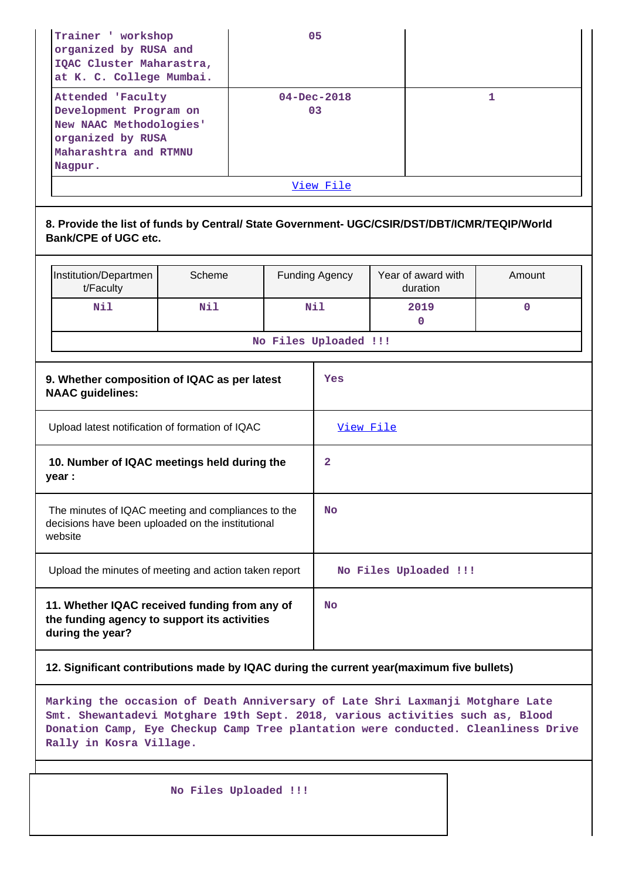| Trainer ' workshop<br>organized by RUSA and<br>IQAC Cluster Maharastra,<br>at K. C. College Mumbai.                             | 05                      |  |  |  |  |  |
|---------------------------------------------------------------------------------------------------------------------------------|-------------------------|--|--|--|--|--|
| Attended 'Faculty<br>Development Program on<br>New NAAC Methodologies'<br>organized by RUSA<br>Maharashtra and RTMNU<br>Nagpur. | $04 - Dec - 2018$<br>03 |  |  |  |  |  |
| View File                                                                                                                       |                         |  |  |  |  |  |

### **8. Provide the list of funds by Central/ State Government- UGC/CSIR/DST/DBT/ICMR/TEQIP/World Bank/CPE of UGC etc.**

| Institution/Departmen<br>t/Faculty | Scheme | <b>Funding Agency</b> | Year of award with<br>duration | Amount |  |  |  |  |
|------------------------------------|--------|-----------------------|--------------------------------|--------|--|--|--|--|
| Nil                                | Nil    | Nil                   | 2019                           |        |  |  |  |  |
| No Files Uploaded !!!              |        |                       |                                |        |  |  |  |  |

| 9. Whether composition of IQAC as per latest<br><b>NAAC</b> guidelines:                                            | Yes                   |
|--------------------------------------------------------------------------------------------------------------------|-----------------------|
| Upload latest notification of formation of IQAC                                                                    | <u>View File</u>      |
| 10. Number of IQAC meetings held during the<br>year :                                                              | $\mathbf{2}$          |
| The minutes of IQAC meeting and compliances to the<br>decisions have been uploaded on the institutional<br>website | <b>No</b>             |
| Upload the minutes of meeting and action taken report                                                              | No Files Uploaded !!! |
| 11. Whether IQAC received funding from any of<br>the funding agency to support its activities<br>during the year?  | No                    |

### **12. Significant contributions made by IQAC during the current year(maximum five bullets)**

**Marking the occasion of Death Anniversary of Late Shri Laxmanji Motghare Late Smt. Shewantadevi Motghare 19th Sept. 2018, various activities such as, Blood Donation Camp, Eye Checkup Camp Tree plantation were conducted. Cleanliness Drive Rally in Kosra Village.**

 **No Files Uploaded !!!**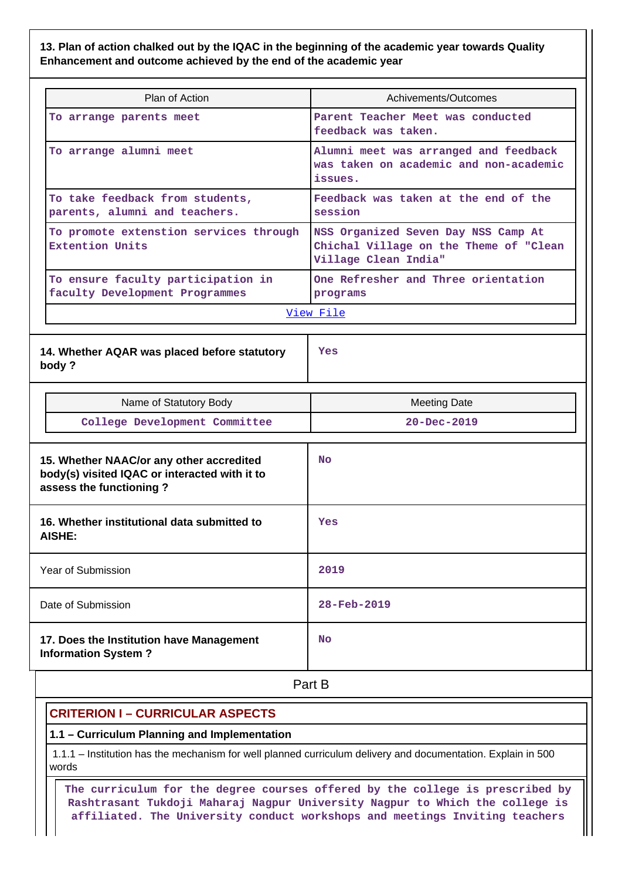**13. Plan of action chalked out by the IQAC in the beginning of the academic year towards Quality Enhancement and outcome achieved by the end of the academic year**

| Plan of Action                                                       | Achivements/Outcomes                                                                                  |  |  |  |  |  |
|----------------------------------------------------------------------|-------------------------------------------------------------------------------------------------------|--|--|--|--|--|
| To arrange parents meet                                              | Parent Teacher Meet was conducted<br>feedback was taken.                                              |  |  |  |  |  |
| To arrange alumni meet                                               | Alumni meet was arranged and feedback<br>was taken on academic and non-academic<br>issues.            |  |  |  |  |  |
| To take feedback from students,<br>parents, alumni and teachers.     | Feedback was taken at the end of the<br>session                                                       |  |  |  |  |  |
| To promote extenstion services through<br><b>Extention Units</b>     | NSS Organized Seven Day NSS Camp At<br>Chichal Village on the Theme of "Clean<br>Village Clean India" |  |  |  |  |  |
| To ensure faculty participation in<br>faculty Development Programmes | One Refresher and Three orientation<br>programs                                                       |  |  |  |  |  |
|                                                                      | View File                                                                                             |  |  |  |  |  |

**14. Whether AQAR was placed before statutory body ?**

**Yes**

| Name of Statutory Body                                                                                               | <b>Meeting Date</b> |  |
|----------------------------------------------------------------------------------------------------------------------|---------------------|--|
| College Development Committee                                                                                        | $20 - Dec - 2019$   |  |
| 15. Whether NAAC/or any other accredited<br>body(s) visited IQAC or interacted with it to<br>assess the functioning? | <b>No</b>           |  |
| 16. Whether institutional data submitted to<br>AISHE:                                                                | Yes                 |  |
| Year of Submission                                                                                                   | 2019                |  |
| Date of Submission                                                                                                   | 28-Feb-2019         |  |
| 17. Does the Institution have Management<br><b>Information System?</b>                                               | <b>No</b>           |  |

**Part B** 

## **CRITERION I – CURRICULAR ASPECTS**

### **1.1 – Curriculum Planning and Implementation**

 1.1.1 – Institution has the mechanism for well planned curriculum delivery and documentation. Explain in 500 words

 **The curriculum for the degree courses offered by the college is prescribed by Rashtrasant Tukdoji Maharaj Nagpur University Nagpur to Which the college is affiliated. The University conduct workshops and meetings Inviting teachers**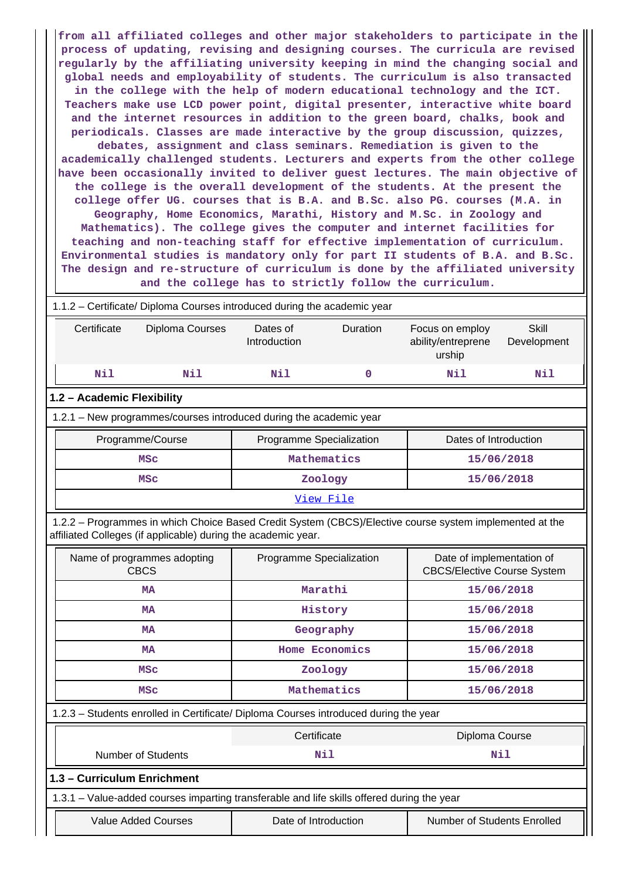**from all affiliated colleges and other major stakeholders to participate in the process of updating, revising and designing courses. The curricula are revised regularly by the affiliating university keeping in mind the changing social and global needs and employability of students. The curriculum is also transacted in the college with the help of modern educational technology and the ICT. Teachers make use LCD power point, digital presenter, interactive white board and the internet resources in addition to the green board, chalks, book and periodicals. Classes are made interactive by the group discussion, quizzes, debates, assignment and class seminars. Remediation is given to the academically challenged students. Lecturers and experts from the other college have been occasionally invited to deliver guest lectures. The main objective of the college is the overall development of the students. At the present the college offer UG. courses that is B.A. and B.Sc. also PG. courses (M.A. in Geography, Home Economics, Marathi, History and M.Sc. in Zoology and Mathematics). The college gives the computer and internet facilities for teaching and non-teaching staff for effective implementation of curriculum. Environmental studies is mandatory only for part II students of B.A. and B.Sc. The design and re-structure of curriculum is done by the affiliated university and the college has to strictly follow the curriculum.**

| 1.1.2 – Certificate/ Diploma Courses introduced during the academic year |                                                                      |                 |                                                                                                           |                      |  |  |  |  |  |
|--------------------------------------------------------------------------|----------------------------------------------------------------------|-----------------|-----------------------------------------------------------------------------------------------------------|----------------------|--|--|--|--|--|
|                                                                          | Dates of<br>Introduction                                             | <b>Duration</b> | Focus on employ<br>ability/entreprene<br>urship                                                           | Skill<br>Development |  |  |  |  |  |
| Nil                                                                      | Nil                                                                  | 0               | Nil                                                                                                       | Nil                  |  |  |  |  |  |
|                                                                          |                                                                      |                 |                                                                                                           |                      |  |  |  |  |  |
|                                                                          |                                                                      |                 |                                                                                                           |                      |  |  |  |  |  |
|                                                                          |                                                                      |                 | Dates of Introduction                                                                                     |                      |  |  |  |  |  |
| Mathematics<br>15/06/2018<br><b>MSC</b>                                  |                                                                      |                 |                                                                                                           |                      |  |  |  |  |  |
| <b>MSC</b>                                                               |                                                                      |                 | 15/06/2018                                                                                                |                      |  |  |  |  |  |
| View File                                                                |                                                                      |                 |                                                                                                           |                      |  |  |  |  |  |
|                                                                          | Certificate<br>Nil<br>1.2 - Academic Flexibility<br>Programme/Course | Diploma Courses | 1.2.1 – New programmes/courses introduced during the academic year<br>Programme Specialization<br>Zoology |                      |  |  |  |  |  |

 1.2.2 – Programmes in which Choice Based Credit System (CBCS)/Elective course system implemented at the affiliated Colleges (if applicable) during the academic year.

| Name of programmes adopting<br><b>CBCS</b>                                                 | Programme Specialization | Date of implementation of<br><b>CBCS/Elective Course System</b> |  |  |  |  |  |
|--------------------------------------------------------------------------------------------|--------------------------|-----------------------------------------------------------------|--|--|--|--|--|
| <b>MA</b>                                                                                  | Marathi                  | 15/06/2018                                                      |  |  |  |  |  |
| <b>MA</b>                                                                                  | History                  | 15/06/2018                                                      |  |  |  |  |  |
| <b>MA</b>                                                                                  | Geography                | 15/06/2018                                                      |  |  |  |  |  |
| <b>MA</b>                                                                                  | Home Economics           | 15/06/2018<br>15/06/2018                                        |  |  |  |  |  |
| <b>MSC</b>                                                                                 | Zoology                  |                                                                 |  |  |  |  |  |
| <b>MSC</b>                                                                                 | Mathematics              | 15/06/2018                                                      |  |  |  |  |  |
| 1.2.3 - Students enrolled in Certificate/ Diploma Courses introduced during the year       |                          |                                                                 |  |  |  |  |  |
|                                                                                            | Certificate              | Diploma Course                                                  |  |  |  |  |  |
| Number of Students                                                                         | Nil                      | Nil                                                             |  |  |  |  |  |
| 1.3 - Curriculum Enrichment                                                                |                          |                                                                 |  |  |  |  |  |
| 1.3.1 – Value-added courses imparting transferable and life skills offered during the year |                          |                                                                 |  |  |  |  |  |
| <b>Value Added Courses</b>                                                                 | Date of Introduction     | Number of Students Enrolled                                     |  |  |  |  |  |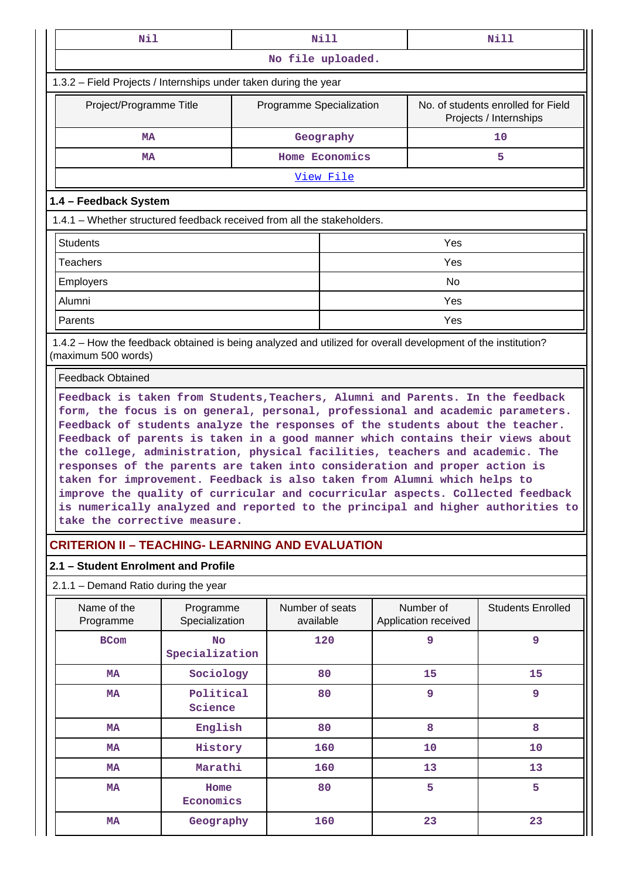| Nil                                                                                                                                                                                                                                                                                                                                                                                                                                                                                                                                                                                                                                                                                                                                                                                |                             | <b>Nill</b> |                              |                |  | Nill                                                         |                          |  |
|------------------------------------------------------------------------------------------------------------------------------------------------------------------------------------------------------------------------------------------------------------------------------------------------------------------------------------------------------------------------------------------------------------------------------------------------------------------------------------------------------------------------------------------------------------------------------------------------------------------------------------------------------------------------------------------------------------------------------------------------------------------------------------|-----------------------------|-------------|------------------------------|----------------|--|--------------------------------------------------------------|--------------------------|--|
|                                                                                                                                                                                                                                                                                                                                                                                                                                                                                                                                                                                                                                                                                                                                                                                    |                             |             | No file uploaded.            |                |  |                                                              |                          |  |
| 1.3.2 – Field Projects / Internships under taken during the year                                                                                                                                                                                                                                                                                                                                                                                                                                                                                                                                                                                                                                                                                                                   |                             |             |                              |                |  |                                                              |                          |  |
| Project/Programme Title                                                                                                                                                                                                                                                                                                                                                                                                                                                                                                                                                                                                                                                                                                                                                            |                             |             | Programme Specialization     |                |  | No. of students enrolled for Field<br>Projects / Internships |                          |  |
| <b>MA</b>                                                                                                                                                                                                                                                                                                                                                                                                                                                                                                                                                                                                                                                                                                                                                                          |                             |             |                              | Geography      |  |                                                              | 10                       |  |
| MA                                                                                                                                                                                                                                                                                                                                                                                                                                                                                                                                                                                                                                                                                                                                                                                 |                             |             |                              | Home Economics |  |                                                              | 5.                       |  |
|                                                                                                                                                                                                                                                                                                                                                                                                                                                                                                                                                                                                                                                                                                                                                                                    |                             |             |                              | View File      |  |                                                              |                          |  |
| 1.4 - Feedback System                                                                                                                                                                                                                                                                                                                                                                                                                                                                                                                                                                                                                                                                                                                                                              |                             |             |                              |                |  |                                                              |                          |  |
| 1.4.1 – Whether structured feedback received from all the stakeholders.                                                                                                                                                                                                                                                                                                                                                                                                                                                                                                                                                                                                                                                                                                            |                             |             |                              |                |  |                                                              |                          |  |
| <b>Students</b>                                                                                                                                                                                                                                                                                                                                                                                                                                                                                                                                                                                                                                                                                                                                                                    |                             |             |                              |                |  | Yes                                                          |                          |  |
| Teachers                                                                                                                                                                                                                                                                                                                                                                                                                                                                                                                                                                                                                                                                                                                                                                           |                             |             |                              |                |  | Yes                                                          |                          |  |
| Employers                                                                                                                                                                                                                                                                                                                                                                                                                                                                                                                                                                                                                                                                                                                                                                          |                             |             |                              |                |  | No                                                           |                          |  |
| Alumni                                                                                                                                                                                                                                                                                                                                                                                                                                                                                                                                                                                                                                                                                                                                                                             |                             |             |                              |                |  | Yes                                                          |                          |  |
| Parents                                                                                                                                                                                                                                                                                                                                                                                                                                                                                                                                                                                                                                                                                                                                                                            |                             |             |                              |                |  | Yes                                                          |                          |  |
| 1.4.2 – How the feedback obtained is being analyzed and utilized for overall development of the institution?<br>(maximum 500 words)                                                                                                                                                                                                                                                                                                                                                                                                                                                                                                                                                                                                                                                |                             |             |                              |                |  |                                                              |                          |  |
| <b>Feedback Obtained</b>                                                                                                                                                                                                                                                                                                                                                                                                                                                                                                                                                                                                                                                                                                                                                           |                             |             |                              |                |  |                                                              |                          |  |
| Feedback is taken from Students, Teachers, Alumni and Parents. In the feedback<br>form, the focus is on general, personal, professional and academic parameters.<br>Feedback of students analyze the responses of the students about the teacher.<br>Feedback of parents is taken in a good manner which contains their views about<br>the college, administration, physical facilities, teachers and academic. The<br>responses of the parents are taken into consideration and proper action is<br>taken for improvement. Feedback is also taken from Alumni which helps to<br>improve the quality of curricular and cocurricular aspects. Collected feedback<br>is numerically analyzed and reported to the principal and higher authorities to<br>take the corrective measure. |                             |             |                              |                |  |                                                              |                          |  |
| <b>CRITERION II - TEACHING- LEARNING AND EVALUATION</b>                                                                                                                                                                                                                                                                                                                                                                                                                                                                                                                                                                                                                                                                                                                            |                             |             |                              |                |  |                                                              |                          |  |
| 2.1 - Student Enrolment and Profile                                                                                                                                                                                                                                                                                                                                                                                                                                                                                                                                                                                                                                                                                                                                                |                             |             |                              |                |  |                                                              |                          |  |
| $2.1.1 -$ Demand Ratio during the year                                                                                                                                                                                                                                                                                                                                                                                                                                                                                                                                                                                                                                                                                                                                             |                             |             |                              |                |  |                                                              |                          |  |
| Name of the<br>Programme                                                                                                                                                                                                                                                                                                                                                                                                                                                                                                                                                                                                                                                                                                                                                           | Programme<br>Specialization |             | Number of seats<br>available |                |  | Number of<br>Application received                            | <b>Students Enrolled</b> |  |
| <b>BCom</b>                                                                                                                                                                                                                                                                                                                                                                                                                                                                                                                                                                                                                                                                                                                                                                        | <b>No</b><br>Specialization |             |                              | 120            |  | 9                                                            | 9                        |  |
| <b>MA</b>                                                                                                                                                                                                                                                                                                                                                                                                                                                                                                                                                                                                                                                                                                                                                                          | Sociology                   |             |                              | 80             |  | 15                                                           | 15                       |  |
| <b>MA</b>                                                                                                                                                                                                                                                                                                                                                                                                                                                                                                                                                                                                                                                                                                                                                                          | Political<br>Science        |             |                              | 80             |  | 9                                                            | 9                        |  |
| MA                                                                                                                                                                                                                                                                                                                                                                                                                                                                                                                                                                                                                                                                                                                                                                                 | English                     |             |                              | 80             |  | 8                                                            | 8                        |  |
| <b>MA</b>                                                                                                                                                                                                                                                                                                                                                                                                                                                                                                                                                                                                                                                                                                                                                                          | History                     |             |                              | 160            |  | 10                                                           | 10                       |  |
| <b>MA</b>                                                                                                                                                                                                                                                                                                                                                                                                                                                                                                                                                                                                                                                                                                                                                                          | Marathi                     |             |                              | 160            |  | 13                                                           | 13                       |  |
| <b>MA</b>                                                                                                                                                                                                                                                                                                                                                                                                                                                                                                                                                                                                                                                                                                                                                                          | Home<br>Economics           |             |                              | 80             |  | 5                                                            | 5                        |  |
| <b>MA</b>                                                                                                                                                                                                                                                                                                                                                                                                                                                                                                                                                                                                                                                                                                                                                                          | Geography                   |             |                              | 160            |  | 23                                                           | 23                       |  |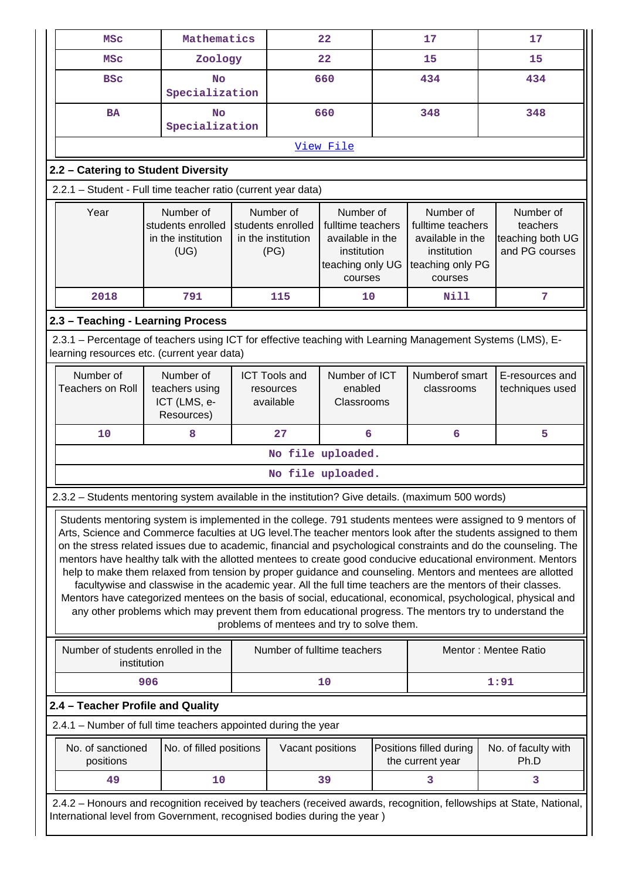| <b>MSC</b>                                                                                                                                                                                                                                                                                                                                                                                                                                                                                                                                                                                                                                                                                                                                                                                                                                                                                                                                                                | Mathematics                                                                                                                                           |  |                                                                                                                                                                  | 22                                 | 17     |                                                                                                  | 17                                                                                                                  |  |
|---------------------------------------------------------------------------------------------------------------------------------------------------------------------------------------------------------------------------------------------------------------------------------------------------------------------------------------------------------------------------------------------------------------------------------------------------------------------------------------------------------------------------------------------------------------------------------------------------------------------------------------------------------------------------------------------------------------------------------------------------------------------------------------------------------------------------------------------------------------------------------------------------------------------------------------------------------------------------|-------------------------------------------------------------------------------------------------------------------------------------------------------|--|------------------------------------------------------------------------------------------------------------------------------------------------------------------|------------------------------------|--------|--------------------------------------------------------------------------------------------------|---------------------------------------------------------------------------------------------------------------------|--|
| <b>MSC</b>                                                                                                                                                                                                                                                                                                                                                                                                                                                                                                                                                                                                                                                                                                                                                                                                                                                                                                                                                                | Zoology                                                                                                                                               |  |                                                                                                                                                                  | 22                                 | 15     |                                                                                                  | 15                                                                                                                  |  |
| <b>BSC</b>                                                                                                                                                                                                                                                                                                                                                                                                                                                                                                                                                                                                                                                                                                                                                                                                                                                                                                                                                                | <b>No</b><br>Specialization                                                                                                                           |  |                                                                                                                                                                  | 660                                |        | 434                                                                                              | 434                                                                                                                 |  |
| <b>BA</b>                                                                                                                                                                                                                                                                                                                                                                                                                                                                                                                                                                                                                                                                                                                                                                                                                                                                                                                                                                 | No<br>Specialization                                                                                                                                  |  |                                                                                                                                                                  | 660                                |        | 348                                                                                              | 348                                                                                                                 |  |
|                                                                                                                                                                                                                                                                                                                                                                                                                                                                                                                                                                                                                                                                                                                                                                                                                                                                                                                                                                           |                                                                                                                                                       |  |                                                                                                                                                                  | View File                          |        |                                                                                                  |                                                                                                                     |  |
| 2.2 - Catering to Student Diversity                                                                                                                                                                                                                                                                                                                                                                                                                                                                                                                                                                                                                                                                                                                                                                                                                                                                                                                                       |                                                                                                                                                       |  |                                                                                                                                                                  |                                    |        |                                                                                                  |                                                                                                                     |  |
| 2.2.1 - Student - Full time teacher ratio (current year data)                                                                                                                                                                                                                                                                                                                                                                                                                                                                                                                                                                                                                                                                                                                                                                                                                                                                                                             |                                                                                                                                                       |  |                                                                                                                                                                  |                                    |        |                                                                                                  |                                                                                                                     |  |
| Year<br>Number of<br>students enrolled<br>in the institution<br>(UG)                                                                                                                                                                                                                                                                                                                                                                                                                                                                                                                                                                                                                                                                                                                                                                                                                                                                                                      |                                                                                                                                                       |  | Number of<br>Number of<br>students enrolled<br>fulltime teachers<br>in the institution<br>available in the<br>(PG)<br>institution<br>teaching only UG<br>courses |                                    |        | Number of<br>fulltime teachers<br>available in the<br>institution<br>teaching only PG<br>courses | Number of<br>teachers<br>teaching both UG<br>and PG courses                                                         |  |
| 2018                                                                                                                                                                                                                                                                                                                                                                                                                                                                                                                                                                                                                                                                                                                                                                                                                                                                                                                                                                      | 791                                                                                                                                                   |  | 115                                                                                                                                                              | 10                                 |        | Nill                                                                                             | 7                                                                                                                   |  |
| 2.3 - Teaching - Learning Process                                                                                                                                                                                                                                                                                                                                                                                                                                                                                                                                                                                                                                                                                                                                                                                                                                                                                                                                         |                                                                                                                                                       |  |                                                                                                                                                                  |                                    |        |                                                                                                  |                                                                                                                     |  |
| 2.3.1 – Percentage of teachers using ICT for effective teaching with Learning Management Systems (LMS), E-<br>learning resources etc. (current year data)                                                                                                                                                                                                                                                                                                                                                                                                                                                                                                                                                                                                                                                                                                                                                                                                                 |                                                                                                                                                       |  |                                                                                                                                                                  |                                    |        |                                                                                                  |                                                                                                                     |  |
| Number of<br><b>Teachers on Roll</b>                                                                                                                                                                                                                                                                                                                                                                                                                                                                                                                                                                                                                                                                                                                                                                                                                                                                                                                                      | Number of ICT<br>Number of<br><b>ICT Tools and</b><br>enabled<br>teachers using<br>resources<br>ICT (LMS, e-<br>available<br>Classrooms<br>Resources) |  | Numberof smart<br>classrooms                                                                                                                                     | E-resources and<br>techniques used |        |                                                                                                  |                                                                                                                     |  |
| 10                                                                                                                                                                                                                                                                                                                                                                                                                                                                                                                                                                                                                                                                                                                                                                                                                                                                                                                                                                        | 8                                                                                                                                                     |  | 27                                                                                                                                                               |                                    | 6<br>6 |                                                                                                  | 5                                                                                                                   |  |
|                                                                                                                                                                                                                                                                                                                                                                                                                                                                                                                                                                                                                                                                                                                                                                                                                                                                                                                                                                           |                                                                                                                                                       |  | No file uploaded.                                                                                                                                                |                                    |        |                                                                                                  |                                                                                                                     |  |
|                                                                                                                                                                                                                                                                                                                                                                                                                                                                                                                                                                                                                                                                                                                                                                                                                                                                                                                                                                           |                                                                                                                                                       |  | No file uploaded.                                                                                                                                                |                                    |        |                                                                                                  |                                                                                                                     |  |
| 2.3.2 - Students mentoring system available in the institution? Give details. (maximum 500 words)                                                                                                                                                                                                                                                                                                                                                                                                                                                                                                                                                                                                                                                                                                                                                                                                                                                                         |                                                                                                                                                       |  |                                                                                                                                                                  |                                    |        |                                                                                                  |                                                                                                                     |  |
| Students mentoring system is implemented in the college. 791 students mentees were assigned to 9 mentors of<br>Arts, Science and Commerce faculties at UG level. The teacher mentors look after the students assigned to them<br>on the stress related issues due to academic, financial and psychological constraints and do the counseling. The<br>mentors have healthy talk with the allotted mentees to create good conducive educational environment. Mentors<br>help to make them relaxed from tension by proper guidance and counseling. Mentors and mentees are allotted<br>facultywise and classwise in the academic year. All the full time teachers are the mentors of their classes.<br>Mentors have categorized mentees on the basis of social, educational, economical, psychological, physical and<br>any other problems which may prevent them from educational progress. The mentors try to understand the<br>problems of mentees and try to solve them. |                                                                                                                                                       |  |                                                                                                                                                                  |                                    |        |                                                                                                  |                                                                                                                     |  |
| Number of students enrolled in the<br>institution                                                                                                                                                                                                                                                                                                                                                                                                                                                                                                                                                                                                                                                                                                                                                                                                                                                                                                                         |                                                                                                                                                       |  | Number of fulltime teachers                                                                                                                                      |                                    |        |                                                                                                  | Mentor : Mentee Ratio                                                                                               |  |
|                                                                                                                                                                                                                                                                                                                                                                                                                                                                                                                                                                                                                                                                                                                                                                                                                                                                                                                                                                           | 906                                                                                                                                                   |  |                                                                                                                                                                  | 10                                 |        |                                                                                                  | 1:91                                                                                                                |  |
| 2.4 - Teacher Profile and Quality                                                                                                                                                                                                                                                                                                                                                                                                                                                                                                                                                                                                                                                                                                                                                                                                                                                                                                                                         |                                                                                                                                                       |  |                                                                                                                                                                  |                                    |        |                                                                                                  |                                                                                                                     |  |
| 2.4.1 - Number of full time teachers appointed during the year                                                                                                                                                                                                                                                                                                                                                                                                                                                                                                                                                                                                                                                                                                                                                                                                                                                                                                            |                                                                                                                                                       |  |                                                                                                                                                                  |                                    |        |                                                                                                  |                                                                                                                     |  |
| No. of sanctioned<br>positions                                                                                                                                                                                                                                                                                                                                                                                                                                                                                                                                                                                                                                                                                                                                                                                                                                                                                                                                            | No. of filled positions                                                                                                                               |  | Vacant positions                                                                                                                                                 |                                    |        | Positions filled during<br>the current year                                                      | No. of faculty with<br>Ph.D                                                                                         |  |
| 49                                                                                                                                                                                                                                                                                                                                                                                                                                                                                                                                                                                                                                                                                                                                                                                                                                                                                                                                                                        | 10                                                                                                                                                    |  |                                                                                                                                                                  | 39                                 |        | 3                                                                                                | 3                                                                                                                   |  |
| International level from Government, recognised bodies during the year)                                                                                                                                                                                                                                                                                                                                                                                                                                                                                                                                                                                                                                                                                                                                                                                                                                                                                                   |                                                                                                                                                       |  |                                                                                                                                                                  |                                    |        |                                                                                                  | 2.4.2 - Honours and recognition received by teachers (received awards, recognition, fellowships at State, National, |  |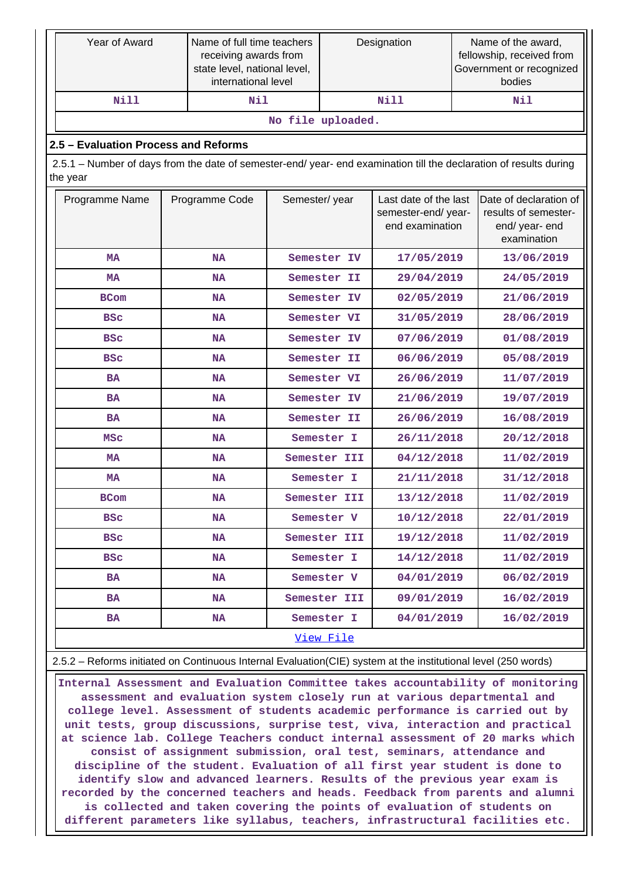| Year of Award                                                                                                                  |  | Name of full time teachers<br>receiving awards from<br>state level, national level,<br>international level |                   | Designation  |                                                                 |  | Name of the award,<br>fellowship, received from<br>Government or recognized<br>bodies |  |
|--------------------------------------------------------------------------------------------------------------------------------|--|------------------------------------------------------------------------------------------------------------|-------------------|--------------|-----------------------------------------------------------------|--|---------------------------------------------------------------------------------------|--|
| <b>Nill</b>                                                                                                                    |  | Nil                                                                                                        |                   |              | <b>Nill</b>                                                     |  | Nil                                                                                   |  |
|                                                                                                                                |  |                                                                                                            | No file uploaded. |              |                                                                 |  |                                                                                       |  |
| 2.5 - Evaluation Process and Reforms                                                                                           |  |                                                                                                            |                   |              |                                                                 |  |                                                                                       |  |
| 2.5.1 – Number of days from the date of semester-end/ year- end examination till the declaration of results during<br>the year |  |                                                                                                            |                   |              |                                                                 |  |                                                                                       |  |
| Programme Name<br>Programme Code                                                                                               |  |                                                                                                            | Semester/year     |              | Last date of the last<br>semester-end/ year-<br>end examination |  | Date of declaration of<br>results of semester-<br>end/year-end<br>examination         |  |
| <b>MA</b>                                                                                                                      |  | <b>NA</b>                                                                                                  |                   | Semester IV  | 17/05/2019                                                      |  | 13/06/2019                                                                            |  |
| <b>MA</b>                                                                                                                      |  | <b>NA</b>                                                                                                  |                   | Semester II  | 29/04/2019                                                      |  | 24/05/2019                                                                            |  |
| <b>BCom</b>                                                                                                                    |  | <b>NA</b>                                                                                                  |                   | Semester IV  | 02/05/2019                                                      |  | 21/06/2019                                                                            |  |
| <b>BSC</b>                                                                                                                     |  | <b>NA</b>                                                                                                  |                   | Semester VI  | 31/05/2019                                                      |  | 28/06/2019                                                                            |  |
| <b>BSC</b>                                                                                                                     |  | <b>NA</b>                                                                                                  |                   | Semester IV  | 07/06/2019                                                      |  | 01/08/2019                                                                            |  |
| <b>BSC</b>                                                                                                                     |  | <b>NA</b>                                                                                                  |                   | Semester II  | 06/06/2019                                                      |  | 05/08/2019                                                                            |  |
| <b>BA</b>                                                                                                                      |  | <b>NA</b>                                                                                                  |                   | Semester VI  | 26/06/2019                                                      |  | 11/07/2019                                                                            |  |
| <b>BA</b>                                                                                                                      |  | <b>NA</b>                                                                                                  |                   | Semester IV  | 21/06/2019                                                      |  | 19/07/2019                                                                            |  |
| <b>BA</b>                                                                                                                      |  | <b>NA</b>                                                                                                  |                   | Semester II  | 26/06/2019                                                      |  | 16/08/2019                                                                            |  |
| MSC                                                                                                                            |  | <b>NA</b>                                                                                                  |                   | Semester I   | 26/11/2018                                                      |  | 20/12/2018                                                                            |  |
| <b>MA</b>                                                                                                                      |  | <b>NA</b>                                                                                                  |                   | Semester III | 04/12/2018                                                      |  | 11/02/2019                                                                            |  |
| MA                                                                                                                             |  | <b>NA</b>                                                                                                  |                   | Semester I   | 21/11/2018                                                      |  | 31/12/2018                                                                            |  |
| BCom                                                                                                                           |  | NA                                                                                                         |                   | Semester III | 13/12/2018                                                      |  | 11/02/2019                                                                            |  |
| <b>BSC</b>                                                                                                                     |  | NA                                                                                                         |                   | Semester V   | 10/12/2018                                                      |  | 22/01/2019                                                                            |  |
| <b>BSC</b>                                                                                                                     |  | NA                                                                                                         |                   | Semester III | 19/12/2018                                                      |  | 11/02/2019                                                                            |  |
| <b>BSC</b>                                                                                                                     |  | NA                                                                                                         |                   | Semester I   | 14/12/2018                                                      |  | 11/02/2019                                                                            |  |
| <b>BA</b>                                                                                                                      |  | NA                                                                                                         |                   | Semester V   | 04/01/2019                                                      |  | 06/02/2019                                                                            |  |
| BA                                                                                                                             |  | NA                                                                                                         |                   | Semester III | 09/01/2019                                                      |  | 16/02/2019                                                                            |  |
| <b>BA</b>                                                                                                                      |  | NA                                                                                                         |                   | Semester I   | 04/01/2019                                                      |  | 16/02/2019                                                                            |  |
|                                                                                                                                |  |                                                                                                            |                   | View File    |                                                                 |  |                                                                                       |  |
| 2.5.2 - Reforms initiated on Continuous Internal Evaluation(CIE) system at the institutional level (250 words)                 |  |                                                                                                            |                   |              |                                                                 |  |                                                                                       |  |

 **Internal Assessment and Evaluation Committee takes accountability of monitoring assessment and evaluation system closely run at various departmental and college level. Assessment of students academic performance is carried out by unit tests, group discussions, surprise test, viva, interaction and practical at science lab. College Teachers conduct internal assessment of 20 marks which consist of assignment submission, oral test, seminars, attendance and discipline of the student. Evaluation of all first year student is done to identify slow and advanced learners. Results of the previous year exam is recorded by the concerned teachers and heads. Feedback from parents and alumni is collected and taken covering the points of evaluation of students on different parameters like syllabus, teachers, infrastructural facilities etc.**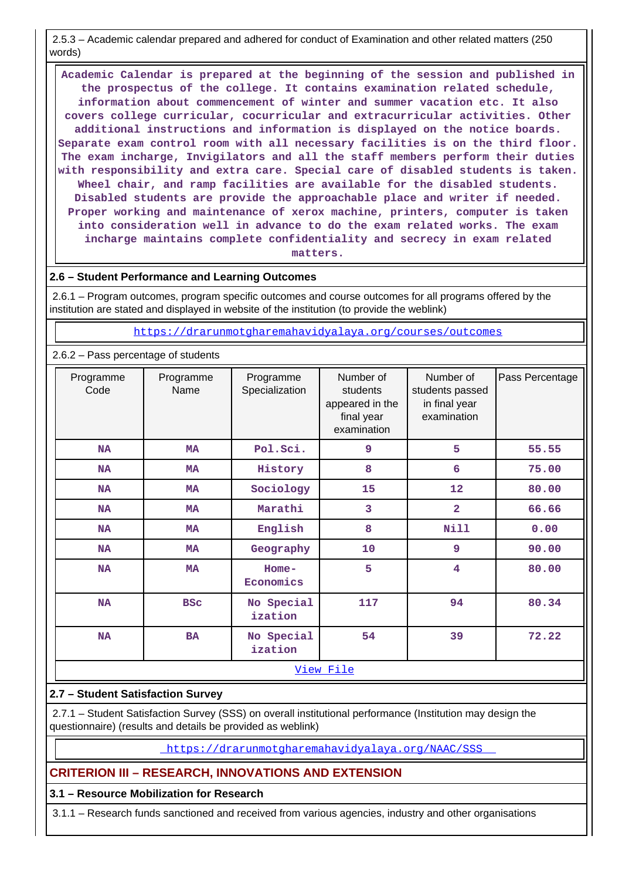2.5.3 – Academic calendar prepared and adhered for conduct of Examination and other related matters (250 words)

 **Academic Calendar is prepared at the beginning of the session and published in the prospectus of the college. It contains examination related schedule, information about commencement of winter and summer vacation etc. It also covers college curricular, cocurricular and extracurricular activities. Other additional instructions and information is displayed on the notice boards. Separate exam control room with all necessary facilities is on the third floor. The exam incharge, Invigilators and all the staff members perform their duties with responsibility and extra care. Special care of disabled students is taken. Wheel chair, and ramp facilities are available for the disabled students. Disabled students are provide the approachable place and writer if needed. Proper working and maintenance of xerox machine, printers, computer is taken into consideration well in advance to do the exam related works. The exam incharge maintains complete confidentiality and secrecy in exam related matters.**

### **2.6 – Student Performance and Learning Outcomes**

 2.6.1 – Program outcomes, program specific outcomes and course outcomes for all programs offered by the institution are stated and displayed in website of the institution (to provide the weblink)

<https://drarunmotgharemahavidyalaya.org/courses/outcomes>

#### 2.6.2 – Pass percentage of students

| Programme<br>Code | Programme<br>Name | Programme<br>Specialization | Number of<br>students<br>appeared in the<br>final year<br>examination | Number of<br>students passed<br>in final year<br>examination | Pass Percentage |
|-------------------|-------------------|-----------------------------|-----------------------------------------------------------------------|--------------------------------------------------------------|-----------------|
| NA                | <b>MA</b>         | Pol.Sci.                    | 9                                                                     | 5                                                            | 55.55           |
| <b>NA</b>         | <b>MA</b>         | History                     | 8                                                                     | 6                                                            | 75.00           |
| <b>NA</b>         | <b>MA</b>         | Sociology                   | 15                                                                    | 12                                                           | 80.00           |
| <b>NA</b>         | <b>MA</b>         | Marathi                     | 3                                                                     | $\overline{2}$                                               | 66.66           |
| <b>NA</b>         | <b>MA</b>         | English                     | 8                                                                     | <b>Nill</b>                                                  | 0.00            |
| <b>NA</b>         | <b>MA</b>         | Geography                   | 10                                                                    | 9                                                            | 90.00           |
| <b>NA</b>         | <b>MA</b>         | $Home-$<br>Economics        | 5                                                                     | $\overline{\mathbf{4}}$                                      | 80.00           |
| <b>NA</b>         | <b>BSC</b>        | No Special<br>ization       | 117                                                                   | 94                                                           | 80.34           |
| <b>NA</b>         | <b>BA</b>         | No Special<br>ization       | 54                                                                    | 39                                                           | 72.22           |
|                   |                   |                             | View File                                                             |                                                              |                 |

#### **2.7 – Student Satisfaction Survey**

 2.7.1 – Student Satisfaction Survey (SSS) on overall institutional performance (Institution may design the questionnaire) (results and details be provided as weblink)

<https://drarunmotgharemahavidyalaya.org/NAAC/SSS>

#### **CRITERION III – RESEARCH, INNOVATIONS AND EXTENSION**

#### **3.1 – Resource Mobilization for Research**

3.1.1 – Research funds sanctioned and received from various agencies, industry and other organisations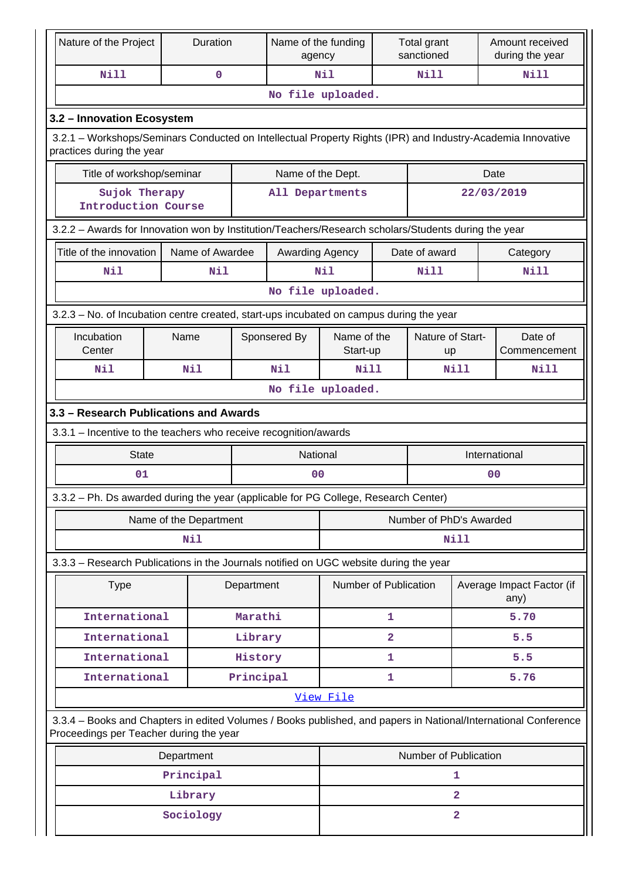| Nature of the Project                                                                                                                                      | Duration               |            | Name of the funding<br>agency |                         | Total grant<br>sanctioned |                               |                | Amount received<br>during the year |  |  |
|------------------------------------------------------------------------------------------------------------------------------------------------------------|------------------------|------------|-------------------------------|-------------------------|---------------------------|-------------------------------|----------------|------------------------------------|--|--|
| <b>Nill</b>                                                                                                                                                | $\mathbf 0$            |            |                               | Nil<br>Nill             |                           |                               | <b>Nill</b>    |                                    |  |  |
|                                                                                                                                                            |                        |            |                               | No file uploaded.       |                           |                               |                |                                    |  |  |
| 3.2 - Innovation Ecosystem                                                                                                                                 |                        |            |                               |                         |                           |                               |                |                                    |  |  |
| 3.2.1 – Workshops/Seminars Conducted on Intellectual Property Rights (IPR) and Industry-Academia Innovative<br>practices during the year                   |                        |            |                               |                         |                           |                               |                |                                    |  |  |
| Title of workshop/seminar                                                                                                                                  |                        |            |                               | Name of the Dept.       |                           |                               | Date           |                                    |  |  |
| Sujok Therapy<br><b>Introduction Course</b>                                                                                                                |                        |            | All Departments               |                         |                           |                               | 22/03/2019     |                                    |  |  |
| 3.2.2 - Awards for Innovation won by Institution/Teachers/Research scholars/Students during the year                                                       |                        |            |                               |                         |                           |                               |                |                                    |  |  |
| Title of the innovation                                                                                                                                    | Name of Awardee        |            | Awarding Agency               |                         |                           | Date of award                 |                | Category                           |  |  |
| Nil                                                                                                                                                        | Nil                    |            |                               | Nil                     |                           | Nill                          |                | Nill                               |  |  |
|                                                                                                                                                            |                        |            |                               | No file uploaded.       |                           |                               |                |                                    |  |  |
| 3.2.3 – No. of Incubation centre created, start-ups incubated on campus during the year                                                                    |                        |            |                               |                         |                           |                               |                |                                    |  |  |
| Incubation<br>Center                                                                                                                                       | Name                   |            | Sponsered By                  | Name of the<br>Start-up |                           | Nature of Start-<br><b>up</b> |                | Date of<br>Commencement            |  |  |
| Nil                                                                                                                                                        | <b>Nil</b>             |            | Nil                           | <b>Nill</b>             |                           | Nill                          | Nill           |                                    |  |  |
|                                                                                                                                                            | No file uploaded.      |            |                               |                         |                           |                               |                |                                    |  |  |
| 3.3 - Research Publications and Awards                                                                                                                     |                        |            |                               |                         |                           |                               |                |                                    |  |  |
| 3.3.1 - Incentive to the teachers who receive recognition/awards                                                                                           |                        |            |                               |                         |                           |                               |                |                                    |  |  |
| <b>State</b>                                                                                                                                               |                        |            | National                      |                         |                           |                               | International  |                                    |  |  |
| 01                                                                                                                                                         |                        |            | 0 <sub>0</sub>                |                         |                           |                               | 0 <sub>0</sub> |                                    |  |  |
| 3.3.2 - Ph. Ds awarded during the year (applicable for PG College, Research Center)                                                                        |                        |            |                               |                         |                           |                               |                |                                    |  |  |
|                                                                                                                                                            | Name of the Department |            |                               | Number of PhD's Awarded |                           |                               |                |                                    |  |  |
|                                                                                                                                                            | <b>Nil</b>             |            |                               | Nill                    |                           |                               |                |                                    |  |  |
| 3.3.3 - Research Publications in the Journals notified on UGC website during the year                                                                      |                        |            |                               |                         |                           |                               |                |                                    |  |  |
| <b>Type</b>                                                                                                                                                |                        | Department |                               | Number of Publication   |                           |                               |                | Average Impact Factor (if<br>any)  |  |  |
| International                                                                                                                                              |                        | Marathi    |                               |                         | 1                         |                               |                | 5.70                               |  |  |
| International                                                                                                                                              |                        | Library    |                               |                         | $\overline{\mathbf{2}}$   |                               |                | 5.5                                |  |  |
| International                                                                                                                                              |                        | History    |                               |                         | 1                         |                               |                | 5.5                                |  |  |
| International                                                                                                                                              |                        | Principal  |                               |                         | 1                         |                               |                | 5.76                               |  |  |
|                                                                                                                                                            |                        |            |                               | View File               |                           |                               |                |                                    |  |  |
| 3.3.4 – Books and Chapters in edited Volumes / Books published, and papers in National/International Conference<br>Proceedings per Teacher during the year |                        |            |                               |                         |                           |                               |                |                                    |  |  |
|                                                                                                                                                            | Department             |            |                               |                         |                           | Number of Publication         |                |                                    |  |  |
|                                                                                                                                                            | Principal              |            |                               |                         |                           |                               | 1              |                                    |  |  |
|                                                                                                                                                            | Library                |            |                               |                         |                           | $\overline{2}$                |                |                                    |  |  |
|                                                                                                                                                            | Sociology              |            |                               |                         |                           | $\overline{\mathbf{2}}$       |                |                                    |  |  |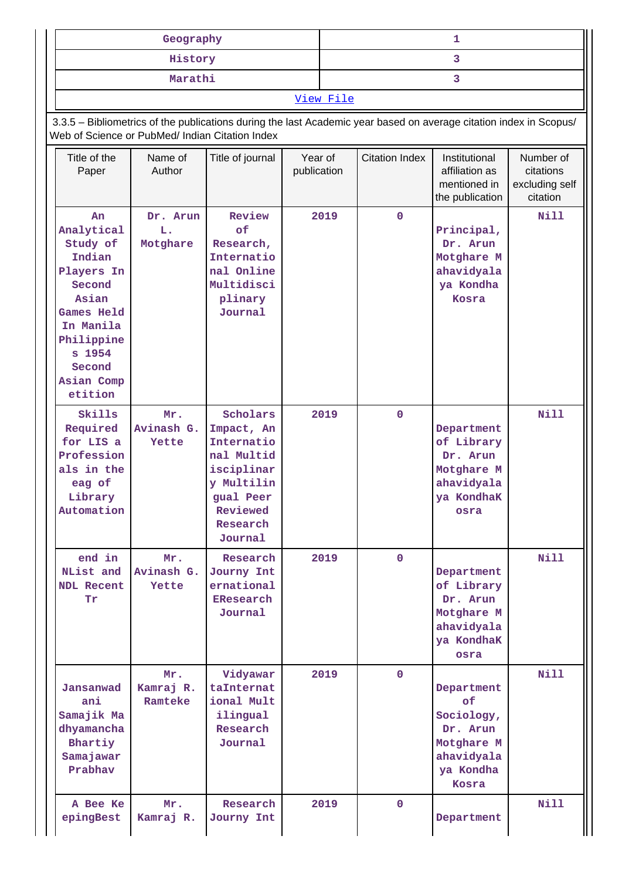| Geography |  |  |  |  |  |  |  |
|-----------|--|--|--|--|--|--|--|
| History   |  |  |  |  |  |  |  |
| Marathi   |  |  |  |  |  |  |  |
| View File |  |  |  |  |  |  |  |

 3.3.5 – Bibliometrics of the publications during the last Academic year based on average citation index in Scopus/ Web of Science or PubMed/ Indian Citation Index

| Title of the<br>Paper                                                                                                                                                | Name of<br>Author           | Title of journal                                                                                                               | Year of<br>publication | <b>Citation Index</b> | Institutional<br>affiliation as<br>mentioned in<br>the publication                           | Number of<br>citations<br>excluding self<br>citation |
|----------------------------------------------------------------------------------------------------------------------------------------------------------------------|-----------------------------|--------------------------------------------------------------------------------------------------------------------------------|------------------------|-----------------------|----------------------------------------------------------------------------------------------|------------------------------------------------------|
| An<br>Analytical<br>Study of<br>Indian<br>Players In<br>Second<br>Asian<br><b>Games Held</b><br>In Manila<br>Philippine<br>s 1954<br>Second<br>Asian Comp<br>etition | Dr. Arun<br>L.<br>Motghare  | Review<br>оf<br>Research,<br>Internatio<br>nal Online<br>Multidisci<br>plinary<br>Journal                                      | 2019                   | $\mathbf 0$           | Principal,<br>Dr. Arun<br>Motghare M<br>ahavidyala<br>ya Kondha<br>Kosra                     | N11                                                  |
| Skills<br>Required<br>for LIS a<br>Profession<br>als in the<br>eag of<br>Library<br>Automation                                                                       | Mr.<br>Avinash G.<br>Yette  | Scholars<br>Impact, An<br>Internatio<br>nal Multid<br>isciplinar<br>y Multilin<br>gual Peer<br>Reviewed<br>Research<br>Journal | 2019                   | $\mathbf 0$           | Department<br>of Library<br>Dr. Arun<br>Motghare M<br>ahavidyala<br>ya KondhaK<br>osra       | <b>Nill</b>                                          |
| end in<br>NList and<br><b>NDL Recent</b><br>Tr                                                                                                                       | Mr.<br>Avinash G.<br>Yette  | Research<br>Journy Int<br>ernational<br>EResearch<br>Journal                                                                   | 2019                   | $\mathbf 0$           | Department<br>of Library<br>Dr. Arun<br>Motghare M<br>ahavidyala<br>ya KondhaK<br>osra       | Nill                                                 |
| Jansanwad<br>ani<br>Samajik Ma<br>dhyamancha<br>Bhartiy<br>Samajawar<br>Prabhav                                                                                      | Mr.<br>Kamraj R.<br>Ramteke | Vidyawar<br>taInternat<br>ional Mult<br>ilingual<br>Research<br>Journal                                                        | 2019                   | $\mathbf 0$           | Department<br>of<br>Sociology,<br>Dr. Arun<br>Motghare M<br>ahavidyala<br>ya Kondha<br>Kosra | Nill                                                 |
| A Bee Ke<br>epingBest                                                                                                                                                | Mr.<br>Kamraj R.            | Research<br>Journy Int                                                                                                         | 2019                   | $\mathbf{0}$          | Department                                                                                   | <b>Nill</b>                                          |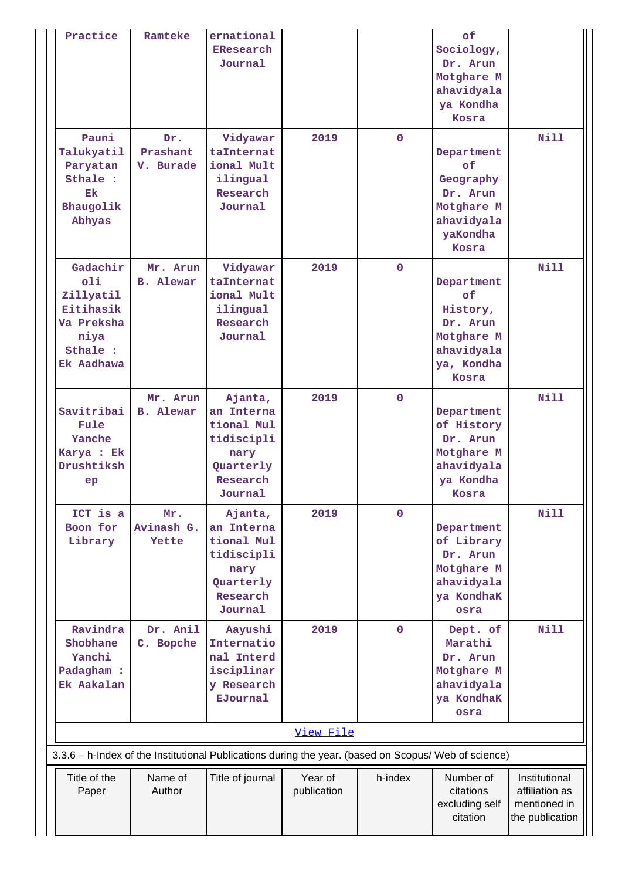| Practice                                                                                  | Ramteke                      | ernational<br>EResearch<br>Journal                                                                   |                        |             | of<br>Sociology,<br>Dr. Arun<br>Motghare M<br>ahavidyala<br>ya Kondha<br>Kosra              |                                                                    |
|-------------------------------------------------------------------------------------------|------------------------------|------------------------------------------------------------------------------------------------------|------------------------|-------------|---------------------------------------------------------------------------------------------|--------------------------------------------------------------------|
| Pauni<br>Talukyatil<br>Paryatan<br>Sthale :<br>Ek<br>Bhaugolik<br>Abhyas                  | Dr.<br>Prashant<br>V. Burade | Vidyawar<br>taInternat<br>ional Mult<br>ilingual<br>Research<br>Journal                              | 2019                   | $\mathbf 0$ | Department<br>of<br>Geography<br>Dr. Arun<br>Motghare M<br>ahavidyala<br>yaKondha<br>Kosra  | <b>Nill</b>                                                        |
| Gadachir<br>01i<br>Zillyatil<br>Eitihasik<br>Va Preksha<br>niya<br>Sthale :<br>Ek Aadhawa | Mr. Arun<br><b>B.</b> Alewar | Vidyawar<br>taInternat<br>ional Mult<br>ilingual<br>Research<br>Journal                              | 2019                   | $\mathbf 0$ | Department<br>of<br>History,<br>Dr. Arun<br>Motghare M<br>ahavidyala<br>ya, Kondha<br>Kosra | Nill                                                               |
| Savitribai<br>Fule<br>Yanche<br>Karya : Ek<br>Drushtiksh<br>ep                            | Mr. Arun<br><b>B.</b> Alewar | Ajanta,<br>an Interna<br>tional Mul<br>tidiscipli<br>nary<br>Quarterly<br>Research<br>Journal        | 2019                   | $\Omega$    | Department<br>of History<br>Dr. Arun<br>Motghare M<br>ahavidyala<br>ya Kondha<br>Kosra      | <b>Nill</b>                                                        |
| ICT is a<br>Boon for<br>Library                                                           | Mr.<br>Avinash G.<br>Yette   | Ajanta,<br>an Interna<br>tional Mul<br>tidiscipli<br>nary<br>Quarterly<br>Research<br>Journal        | 2019                   | $\mathbf 0$ | Department<br>of Library<br>Dr. Arun<br>Motghare M<br>ahavidyala<br>ya KondhaK<br>osra      | Nill                                                               |
| Ravindra<br>Shobhane<br>Yanchi<br>Padagham :<br>Ek Aakalan                                | Dr. Anil<br>C. Bopche        | Aayushi<br>Internatio<br>nal Interd<br>isciplinar<br>y Research<br><b>EJournal</b>                   | 2019                   | $\mathbf 0$ | Dept. of<br>Marathi<br>Dr. Arun<br>Motghare M<br>ahavidyala<br>ya KondhaK<br>osra           | <b>Nill</b>                                                        |
|                                                                                           |                              |                                                                                                      | View File              |             |                                                                                             |                                                                    |
|                                                                                           |                              | 3.3.6 - h-Index of the Institutional Publications during the year. (based on Scopus/ Web of science) |                        |             |                                                                                             |                                                                    |
| Title of the<br>Paper                                                                     | Name of<br>Author            | Title of journal                                                                                     | Year of<br>publication | h-index     | Number of<br>citations<br>excluding self<br>citation                                        | Institutional<br>affiliation as<br>mentioned in<br>the publication |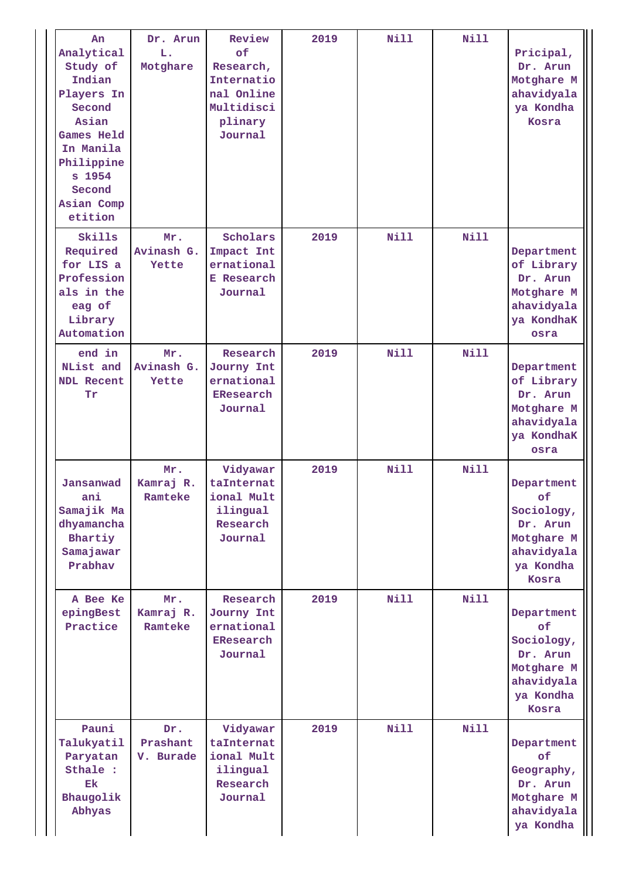| An<br>Analytical<br>Study of<br>Indian<br>Players In<br>Second<br>Asian<br>Games Held<br>In Manila<br>Philippine<br>s 1954<br>Second<br>Asian Comp<br>etition | Dr. Arun<br>L.<br>Motghare   | Review<br>of<br>Research,<br>Internatio<br>nal Online<br>Multidisci<br>plinary<br>Journal | 2019 | Nill        | Nill        | Pricipal,<br>Dr. Arun<br>Motghare M<br>ahavidyala<br>ya Kondha<br>Kosra                      |
|---------------------------------------------------------------------------------------------------------------------------------------------------------------|------------------------------|-------------------------------------------------------------------------------------------|------|-------------|-------------|----------------------------------------------------------------------------------------------|
| Skills<br>Required<br>for LIS a<br>Profession<br>als in the<br>eag of<br>Library<br>Automation                                                                | Mr.<br>Avinash G.<br>Yette   | Scholars<br>Impact Int<br>ernational<br><b>E</b> Research<br>Journal                      | 2019 | Nill        | Nill        | Department<br>of Library<br>Dr. Arun<br>Motghare M<br>ahavidyala<br>ya KondhaK<br>osra       |
| end in<br>NList and<br><b>NDL Recent</b><br>Tr                                                                                                                | Mr.<br>Avinash G.<br>Yette   | Research<br>Journy Int<br>ernational<br><b>EResearch</b><br>Journal                       | 2019 | <b>Nill</b> | <b>Nill</b> | Department<br>of Library<br>Dr. Arun<br>Motghare M<br>ahavidyala<br>ya KondhaK<br>osra       |
| Jansanwad<br>ani<br>Samajik Ma<br>dhyamancha<br>Bhartiy<br>Samajawar<br>Prabhav                                                                               | Mr.<br>Kamraj R.<br>Ramteke  | Vidyawar<br>taInternat<br>ional Mult<br>ilingual<br>Research<br>Journal                   | 2019 | Nill        | <b>Nill</b> | Department<br>of<br>Sociology,<br>Dr. Arun<br>Motghare M<br>ahavidyala<br>ya Kondha<br>Kosra |
| A Bee Ke<br>epingBest<br>Practice                                                                                                                             | Mr.<br>Kamraj R.<br>Ramteke  | Research<br>Journy Int<br>ernational<br>EResearch<br>Journal                              | 2019 | Nill        | Nill        | Department<br>of<br>Sociology,<br>Dr. Arun<br>Motghare M<br>ahavidyala<br>ya Kondha<br>Kosra |
| Pauni<br>Talukyatil<br>Paryatan<br>Sthale :<br>Ek<br>Bhaugolik<br>Abhyas                                                                                      | Dr.<br>Prashant<br>V. Burade | Vidyawar<br>taInternat<br>ional Mult<br>ilingual<br>Research<br>Journal                   | 2019 | Nill        | Nill        | Department<br>of<br>Geography,<br>Dr. Arun<br>Motghare M<br>ahavidyala<br>ya Kondha          |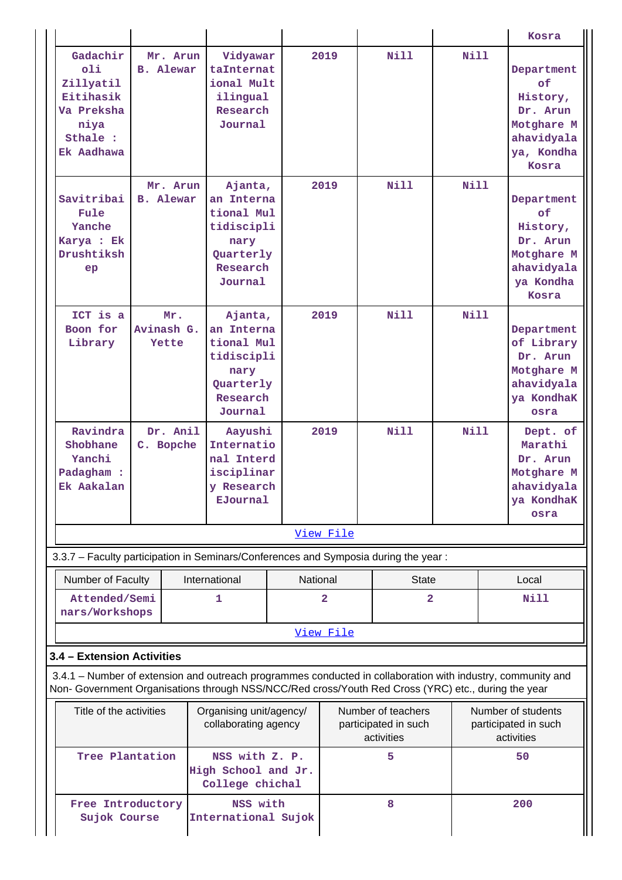|                                                                                                                                                           |                                                                                                             |                                 |  |                                                                                               |          |                |                                                          |             |  | Kosra                                                                                       |  |
|-----------------------------------------------------------------------------------------------------------------------------------------------------------|-------------------------------------------------------------------------------------------------------------|---------------------------------|--|-----------------------------------------------------------------------------------------------|----------|----------------|----------------------------------------------------------|-------------|--|---------------------------------------------------------------------------------------------|--|
|                                                                                                                                                           | Gadachir<br>011<br>Zillyatil<br>Eitihasik<br>Va Preksha<br>niya<br>Sthale :<br>Ek Aadhawa                   | Mr. Arun<br><b>B.</b> Alewar    |  | Vidyawar<br>taInternat<br>ional Mult<br>ilingual<br>Research<br>Journal                       |          | 2019           | <b>Nill</b>                                              | <b>Nill</b> |  | Department<br>of<br>History,<br>Dr. Arun<br>Motghare M<br>ahavidyala<br>ya, Kondha<br>Kosra |  |
|                                                                                                                                                           | Savitribai<br>Fule<br>Yanche<br>Karya : Ek<br>Drushtiksh<br>ep                                              | Mr. Arun<br><b>B.</b> Alewar    |  | Ajanta,<br>an Interna<br>tional Mul<br>tidiscipli<br>nary<br>Quarterly<br>Research<br>Journal |          | 2019           | <b>Nill</b>                                              | <b>Nill</b> |  | Department<br>of<br>History,<br>Dr. Arun<br>Motghare M<br>ahavidyala<br>ya Kondha<br>Kosra  |  |
|                                                                                                                                                           | ICT is a<br>Boon for<br>Library                                                                             | Mr.<br>Avinash G.<br>Yette      |  | Ajanta,<br>an Interna<br>tional Mul<br>tidiscipli<br>nary<br>Quarterly<br>Research<br>Journal |          | 2019           | <b>Nill</b>                                              | <b>Nill</b> |  | Department<br>of Library<br>Dr. Arun<br>Motghare M<br>ahavidyala<br>ya KondhaK<br>osra      |  |
|                                                                                                                                                           | Ravindra<br>Shobhane<br>Yanchi<br>Padagham :<br>Ek Aakalan                                                  | Dr. Anil<br>C. Bopche           |  | Aayushi<br>Internatio<br>nal Interd<br>isciplinar<br>y Research<br>EJournal                   |          | 2019           | <b>Nill</b>                                              | Nill        |  | Dept. of<br>Marathi<br>Dr. Arun<br>Motghare M<br>ahavidyala<br>ya KondhaK<br>osra           |  |
|                                                                                                                                                           |                                                                                                             |                                 |  |                                                                                               |          | View File      |                                                          |             |  |                                                                                             |  |
|                                                                                                                                                           | 3.3.7 - Faculty participation in Seminars/Conferences and Symposia during the year:                         |                                 |  |                                                                                               |          |                |                                                          |             |  |                                                                                             |  |
|                                                                                                                                                           | Number of Faculty                                                                                           |                                 |  | International                                                                                 | National |                | <b>State</b>                                             |             |  | Local                                                                                       |  |
|                                                                                                                                                           | Attended/Semi<br>nars/Workshops                                                                             |                                 |  | 1                                                                                             |          | $\overline{a}$ |                                                          | 2           |  | <b>Nill</b>                                                                                 |  |
|                                                                                                                                                           | 3.4 - Extension Activities                                                                                  |                                 |  |                                                                                               |          | View File      |                                                          |             |  |                                                                                             |  |
|                                                                                                                                                           | 3.4.1 – Number of extension and outreach programmes conducted in collaboration with industry, community and |                                 |  |                                                                                               |          |                |                                                          |             |  |                                                                                             |  |
| Non- Government Organisations through NSS/NCC/Red cross/Youth Red Cross (YRC) etc., during the year<br>Title of the activities<br>Organising unit/agency/ |                                                                                                             |                                 |  | collaborating agency                                                                          |          |                | Number of teachers<br>participated in such<br>activities |             |  | Number of students<br>participated in such<br>activities                                    |  |
|                                                                                                                                                           | Tree Plantation                                                                                             |                                 |  | NSS with Z. P.<br>High School and Jr.<br>College chichal                                      |          |                | 5                                                        |             |  | 50                                                                                          |  |
|                                                                                                                                                           | Free Introductory<br>Sujok Course                                                                           | NSS with<br>International Sujok |  |                                                                                               | 8        |                |                                                          | 200         |  |                                                                                             |  |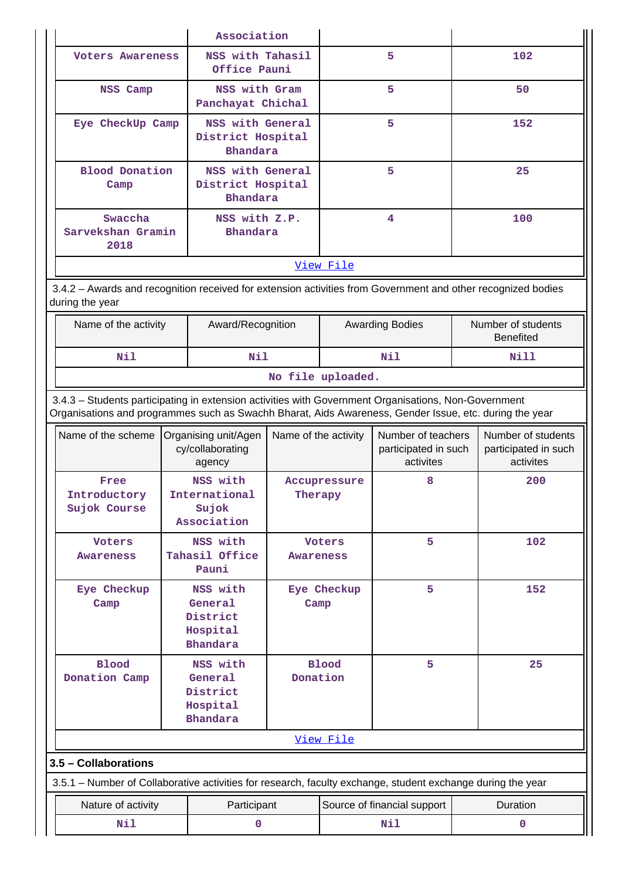|                                                                                                                                                                                                                | Association                                                                  |                                                                |                         |                          |                                                         |  |                                                         |  |  |
|----------------------------------------------------------------------------------------------------------------------------------------------------------------------------------------------------------------|------------------------------------------------------------------------------|----------------------------------------------------------------|-------------------------|--------------------------|---------------------------------------------------------|--|---------------------------------------------------------|--|--|
| <b>Voters Awareness</b>                                                                                                                                                                                        |                                                                              | NSS with Tahasil<br>Office Pauni                               |                         |                          | 5                                                       |  | 102                                                     |  |  |
| NSS Camp                                                                                                                                                                                                       |                                                                              | NSS with Gram<br>Panchayat Chichal                             |                         |                          | 5                                                       |  | 50                                                      |  |  |
|                                                                                                                                                                                                                | NSS with General<br>Eye CheckUp Camp<br>District Hospital<br><b>Bhandara</b> |                                                                |                         |                          | 5                                                       |  | 152                                                     |  |  |
| <b>Blood Donation</b><br>Camp                                                                                                                                                                                  |                                                                              | NSS with General<br>District Hospital<br><b>Bhandara</b>       |                         |                          | 5                                                       |  | 25                                                      |  |  |
| Swaccha<br>Sarvekshan Gramin<br>2018                                                                                                                                                                           |                                                                              | NSS with Z.P.<br><b>Bhandara</b>                               |                         |                          | 4                                                       |  | 100                                                     |  |  |
|                                                                                                                                                                                                                |                                                                              |                                                                |                         | View File                |                                                         |  |                                                         |  |  |
| 3.4.2 - Awards and recognition received for extension activities from Government and other recognized bodies<br>during the year                                                                                |                                                                              |                                                                |                         |                          |                                                         |  |                                                         |  |  |
|                                                                                                                                                                                                                | Name of the activity<br>Award/Recognition                                    |                                                                |                         |                          | <b>Awarding Bodies</b>                                  |  | Number of students<br><b>Benefited</b>                  |  |  |
| Nil                                                                                                                                                                                                            | Nil                                                                          |                                                                |                         |                          | Nil                                                     |  | Nill                                                    |  |  |
| No file uploaded.                                                                                                                                                                                              |                                                                              |                                                                |                         |                          |                                                         |  |                                                         |  |  |
| 3.4.3 - Students participating in extension activities with Government Organisations, Non-Government<br>Organisations and programmes such as Swachh Bharat, Aids Awareness, Gender Issue, etc. during the year |                                                                              |                                                                |                         |                          |                                                         |  |                                                         |  |  |
| Name of the scheme                                                                                                                                                                                             | Name of the activity<br>Organising unit/Agen<br>cy/collaborating<br>agency   |                                                                |                         |                          | Number of teachers<br>participated in such<br>activites |  | Number of students<br>participated in such<br>activites |  |  |
| Free<br>Introductory<br>Sujok Course                                                                                                                                                                           |                                                                              | NSS with<br>International<br>Sujok<br>Association              | Accupressure<br>Therapy |                          | 8                                                       |  | 200                                                     |  |  |
| <b>Voters</b><br><b>Awareness</b>                                                                                                                                                                              |                                                                              | NSS with<br>Tahasil Office<br>Pauni                            | Awareness               | <b>Voters</b>            | 5                                                       |  | 102                                                     |  |  |
| Eye Checkup<br>Camp                                                                                                                                                                                            |                                                                              | NSS with<br>General<br>District<br>Hospital<br><b>Bhandara</b> | Camp                    | Eye Checkup              | 5                                                       |  | 152                                                     |  |  |
| <b>Blood</b><br>Donation Camp                                                                                                                                                                                  | NSS with<br>General<br>District<br>Hospital<br><b>Bhandara</b>               |                                                                |                         | <b>Blood</b><br>Donation | 5                                                       |  | 25                                                      |  |  |
|                                                                                                                                                                                                                |                                                                              |                                                                |                         | View File                |                                                         |  |                                                         |  |  |
| 3.5 - Collaborations                                                                                                                                                                                           |                                                                              |                                                                |                         |                          |                                                         |  |                                                         |  |  |
| 3.5.1 - Number of Collaborative activities for research, faculty exchange, student exchange during the year                                                                                                    |                                                                              |                                                                |                         |                          |                                                         |  |                                                         |  |  |
| Nature of activity                                                                                                                                                                                             |                                                                              | Participant                                                    |                         |                          | Source of financial support                             |  | Duration                                                |  |  |
| Nil                                                                                                                                                                                                            |                                                                              | 0                                                              |                         | Nil                      |                                                         |  | $\mathbf 0$                                             |  |  |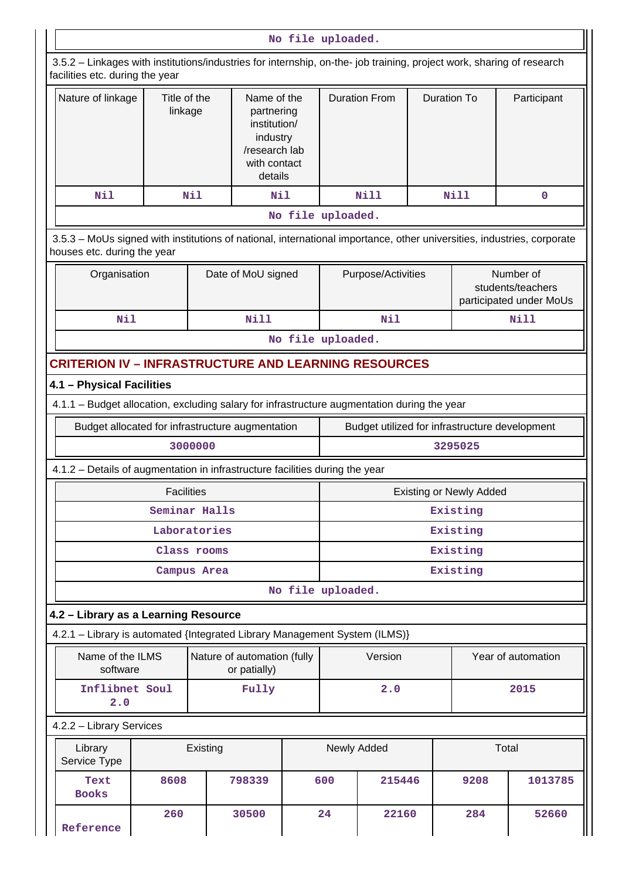|                                                                                                                                                       |                                                                                                                                                          |               |                                                                                                   | No file uploaded. |          |                      |                    |                                |                                                           |  |
|-------------------------------------------------------------------------------------------------------------------------------------------------------|----------------------------------------------------------------------------------------------------------------------------------------------------------|---------------|---------------------------------------------------------------------------------------------------|-------------------|----------|----------------------|--------------------|--------------------------------|-----------------------------------------------------------|--|
|                                                                                                                                                       | 3.5.2 - Linkages with institutions/industries for internship, on-the- job training, project work, sharing of research<br>facilities etc. during the year |               |                                                                                                   |                   |          |                      |                    |                                |                                                           |  |
| Nature of linkage                                                                                                                                     | Title of the<br>linkage                                                                                                                                  |               | Name of the<br>partnering<br>institution/<br>industry<br>/research lab<br>with contact<br>details |                   |          | <b>Duration From</b> | <b>Duration To</b> |                                | Participant                                               |  |
| Nil                                                                                                                                                   |                                                                                                                                                          | Nil           | Nil                                                                                               |                   |          | <b>Nill</b>          |                    | Nill                           | 0                                                         |  |
|                                                                                                                                                       |                                                                                                                                                          |               |                                                                                                   | No file uploaded. |          |                      |                    |                                |                                                           |  |
| 3.5.3 - MoUs signed with institutions of national, international importance, other universities, industries, corporate<br>houses etc. during the year |                                                                                                                                                          |               |                                                                                                   |                   |          |                      |                    |                                |                                                           |  |
| Organisation                                                                                                                                          |                                                                                                                                                          |               | Date of MoU signed                                                                                |                   |          | Purpose/Activities   |                    |                                | Number of<br>students/teachers<br>participated under MoUs |  |
| Nil                                                                                                                                                   |                                                                                                                                                          |               | <b>Nill</b>                                                                                       |                   |          | Nil                  |                    |                                | <b>Nill</b>                                               |  |
| No file uploaded.                                                                                                                                     |                                                                                                                                                          |               |                                                                                                   |                   |          |                      |                    |                                |                                                           |  |
| <b>CRITERION IV - INFRASTRUCTURE AND LEARNING RESOURCES</b>                                                                                           |                                                                                                                                                          |               |                                                                                                   |                   |          |                      |                    |                                |                                                           |  |
| 4.1 - Physical Facilities                                                                                                                             |                                                                                                                                                          |               |                                                                                                   |                   |          |                      |                    |                                |                                                           |  |
| 4.1.1 - Budget allocation, excluding salary for infrastructure augmentation during the year                                                           |                                                                                                                                                          |               |                                                                                                   |                   |          |                      |                    |                                |                                                           |  |
| Budget allocated for infrastructure augmentation                                                                                                      |                                                                                                                                                          |               |                                                                                                   |                   |          |                      |                    |                                | Budget utilized for infrastructure development            |  |
|                                                                                                                                                       |                                                                                                                                                          | 3000000       |                                                                                                   |                   |          |                      |                    | 3295025                        |                                                           |  |
| 4.1.2 - Details of augmentation in infrastructure facilities during the year                                                                          |                                                                                                                                                          |               |                                                                                                   |                   |          |                      |                    |                                |                                                           |  |
|                                                                                                                                                       | <b>Facilities</b>                                                                                                                                        |               |                                                                                                   |                   |          |                      |                    | <b>Existing or Newly Added</b> |                                                           |  |
|                                                                                                                                                       |                                                                                                                                                          | Seminar Halls |                                                                                                   |                   | Existing |                      |                    |                                |                                                           |  |
|                                                                                                                                                       |                                                                                                                                                          | Laboratories  |                                                                                                   |                   | Existing |                      |                    |                                |                                                           |  |
|                                                                                                                                                       |                                                                                                                                                          | Class rooms   |                                                                                                   |                   | Existing |                      |                    |                                |                                                           |  |
|                                                                                                                                                       |                                                                                                                                                          | Campus Area   |                                                                                                   |                   |          |                      |                    | Existing                       |                                                           |  |
|                                                                                                                                                       |                                                                                                                                                          |               |                                                                                                   | No file uploaded. |          |                      |                    |                                |                                                           |  |
| 4.2 - Library as a Learning Resource                                                                                                                  |                                                                                                                                                          |               |                                                                                                   |                   |          |                      |                    |                                |                                                           |  |
| 4.2.1 - Library is automated {Integrated Library Management System (ILMS)}                                                                            |                                                                                                                                                          |               |                                                                                                   |                   |          |                      |                    |                                |                                                           |  |
| Name of the ILMS<br>software                                                                                                                          |                                                                                                                                                          |               | Nature of automation (fully<br>or patially)                                                       |                   |          | Version              |                    |                                | Year of automation                                        |  |
| Inflibnet Soul<br>2.0                                                                                                                                 |                                                                                                                                                          |               | Fully                                                                                             |                   |          | 2.0                  |                    |                                | 2015                                                      |  |
| 4.2.2 - Library Services                                                                                                                              |                                                                                                                                                          |               |                                                                                                   |                   |          |                      |                    |                                |                                                           |  |
| Library<br>Service Type                                                                                                                               |                                                                                                                                                          | Existing      |                                                                                                   |                   |          | Newly Added          |                    |                                | Total                                                     |  |
| Text<br><b>Books</b>                                                                                                                                  | 8608                                                                                                                                                     |               | 798339                                                                                            |                   | 600      | 215446               |                    | 9208                           | 1013785                                                   |  |
| Reference                                                                                                                                             | 260                                                                                                                                                      |               | 30500                                                                                             |                   | 24       | 22160                |                    | 284                            | 52660                                                     |  |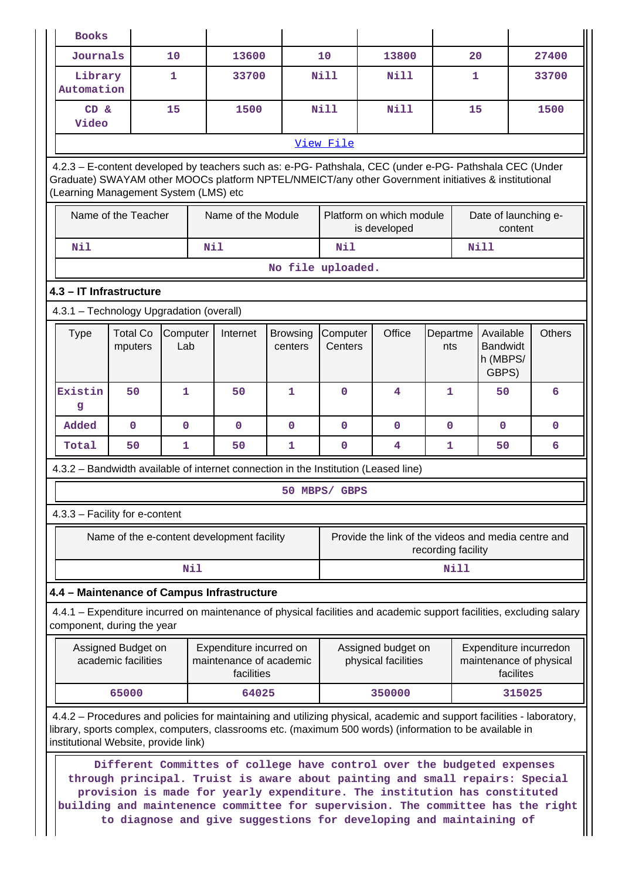| <b>Books</b>                                                                                                                                                                                                                                                             |                                           |                 |     |                                                                                                                                                                                                                                                                                                                                                                                              |                            |                                                  |      |                                                     |                                                   |          |               |           |                                                   |
|--------------------------------------------------------------------------------------------------------------------------------------------------------------------------------------------------------------------------------------------------------------------------|-------------------------------------------|-----------------|-----|----------------------------------------------------------------------------------------------------------------------------------------------------------------------------------------------------------------------------------------------------------------------------------------------------------------------------------------------------------------------------------------------|----------------------------|--------------------------------------------------|------|-----------------------------------------------------|---------------------------------------------------|----------|---------------|-----------|---------------------------------------------------|
| Journals                                                                                                                                                                                                                                                                 |                                           | 10              |     | 13600                                                                                                                                                                                                                                                                                                                                                                                        |                            | 10                                               |      | 13800                                               |                                                   | 20       |               |           | 27400                                             |
| Library<br>Automation                                                                                                                                                                                                                                                    |                                           | 1               |     | 33700                                                                                                                                                                                                                                                                                                                                                                                        |                            | Nill                                             | Nill |                                                     |                                                   | 1        |               | 33700     |                                                   |
| CD &<br>Video                                                                                                                                                                                                                                                            |                                           | 15              |     | 1500                                                                                                                                                                                                                                                                                                                                                                                         |                            | Nill                                             |      | Nill                                                |                                                   | 15       |               |           | 1500                                              |
|                                                                                                                                                                                                                                                                          |                                           |                 |     |                                                                                                                                                                                                                                                                                                                                                                                              |                            | View File                                        |      |                                                     |                                                   |          |               |           |                                                   |
| 4.2.3 - E-content developed by teachers such as: e-PG- Pathshala, CEC (under e-PG- Pathshala CEC (Under<br>Graduate) SWAYAM other MOOCs platform NPTEL/NMEICT/any other Government initiatives & institutional<br>(Learning Management System (LMS) etc                  |                                           |                 |     |                                                                                                                                                                                                                                                                                                                                                                                              |                            |                                                  |      |                                                     |                                                   |          |               |           |                                                   |
|                                                                                                                                                                                                                                                                          | Name of the Teacher                       |                 |     | Name of the Module                                                                                                                                                                                                                                                                                                                                                                           |                            |                                                  |      | Platform on which module<br>is developed            |                                                   |          |               | content   | Date of launching e-                              |
| Nil                                                                                                                                                                                                                                                                      |                                           |                 | Nil |                                                                                                                                                                                                                                                                                                                                                                                              |                            | Nil                                              |      |                                                     |                                                   |          | <b>Nill</b>   |           |                                                   |
|                                                                                                                                                                                                                                                                          |                                           |                 |     |                                                                                                                                                                                                                                                                                                                                                                                              |                            | No file uploaded.                                |      |                                                     |                                                   |          |               |           |                                                   |
| 4.3 - IT Infrastructure                                                                                                                                                                                                                                                  |                                           |                 |     |                                                                                                                                                                                                                                                                                                                                                                                              |                            |                                                  |      |                                                     |                                                   |          |               |           |                                                   |
| 4.3.1 - Technology Upgradation (overall)                                                                                                                                                                                                                                 |                                           |                 |     |                                                                                                                                                                                                                                                                                                                                                                                              |                            |                                                  |      |                                                     |                                                   |          |               |           |                                                   |
| <b>Type</b>                                                                                                                                                                                                                                                              | <b>Total Co</b><br>mputers                | Computer<br>Lab |     | Internet                                                                                                                                                                                                                                                                                                                                                                                     | <b>Browsing</b><br>centers | Office<br>Computer<br>Departme<br>Centers<br>nts |      |                                                     | Available<br><b>Bandwidt</b><br>h (MBPS/<br>GBPS) |          | <b>Others</b> |           |                                                   |
| Existin<br>g                                                                                                                                                                                                                                                             | 50                                        | 1               |     | 50                                                                                                                                                                                                                                                                                                                                                                                           | 1                          | $\mathbf 0$                                      |      | 4                                                   | 1                                                 | 50       |               |           | 6                                                 |
| Added                                                                                                                                                                                                                                                                    | $\mathbf 0$                               | 0               |     | $\mathbf 0$                                                                                                                                                                                                                                                                                                                                                                                  | $\mathbf 0$                | $\Omega$                                         |      | 0<br>0                                              |                                                   | $\Omega$ |               | 0         |                                                   |
| Total                                                                                                                                                                                                                                                                    | 50                                        | 1               |     | 50                                                                                                                                                                                                                                                                                                                                                                                           | 1                          | $\mathbf 0$<br>4<br>1<br>50<br>6                 |      |                                                     |                                                   |          |               |           |                                                   |
| 4.3.2 - Bandwidth available of internet connection in the Institution (Leased line)                                                                                                                                                                                      |                                           |                 |     |                                                                                                                                                                                                                                                                                                                                                                                              |                            |                                                  |      |                                                     |                                                   |          |               |           |                                                   |
|                                                                                                                                                                                                                                                                          |                                           |                 |     |                                                                                                                                                                                                                                                                                                                                                                                              |                            | 50 MBPS/ GBPS                                    |      |                                                     |                                                   |          |               |           |                                                   |
| 4.3.3 - Facility for e-content                                                                                                                                                                                                                                           |                                           |                 |     |                                                                                                                                                                                                                                                                                                                                                                                              |                            |                                                  |      |                                                     |                                                   |          |               |           |                                                   |
|                                                                                                                                                                                                                                                                          |                                           |                 |     | Name of the e-content development facility                                                                                                                                                                                                                                                                                                                                                   |                            |                                                  |      | Provide the link of the videos and media centre and | recording facility                                |          |               |           |                                                   |
|                                                                                                                                                                                                                                                                          |                                           | Nil             |     |                                                                                                                                                                                                                                                                                                                                                                                              |                            |                                                  |      |                                                     |                                                   | Nill     |               |           |                                                   |
| 4.4 - Maintenance of Campus Infrastructure                                                                                                                                                                                                                               |                                           |                 |     |                                                                                                                                                                                                                                                                                                                                                                                              |                            |                                                  |      |                                                     |                                                   |          |               |           |                                                   |
| 4.4.1 – Expenditure incurred on maintenance of physical facilities and academic support facilities, excluding salary<br>component, during the year                                                                                                                       |                                           |                 |     |                                                                                                                                                                                                                                                                                                                                                                                              |                            |                                                  |      |                                                     |                                                   |          |               |           |                                                   |
|                                                                                                                                                                                                                                                                          | Assigned Budget on<br>academic facilities |                 |     | Expenditure incurred on<br>maintenance of academic<br>facilities                                                                                                                                                                                                                                                                                                                             |                            |                                                  |      | Assigned budget on<br>physical facilities           |                                                   |          |               | facilites | Expenditure incurredon<br>maintenance of physical |
|                                                                                                                                                                                                                                                                          | 65000                                     |                 |     | 64025                                                                                                                                                                                                                                                                                                                                                                                        |                            |                                                  |      | 350000                                              |                                                   |          |               | 315025    |                                                   |
| 4.4.2 - Procedures and policies for maintaining and utilizing physical, academic and support facilities - laboratory,<br>library, sports complex, computers, classrooms etc. (maximum 500 words) (information to be available in<br>institutional Website, provide link) |                                           |                 |     |                                                                                                                                                                                                                                                                                                                                                                                              |                            |                                                  |      |                                                     |                                                   |          |               |           |                                                   |
|                                                                                                                                                                                                                                                                          |                                           |                 |     | Different Committes of college have control over the budgeted expenses<br>through principal. Truist is aware about painting and small repairs: Special<br>provision is made for yearly expenditure. The institution has constituted<br>building and maintenence committee for supervision. The committee has the right<br>to diagnose and give suggestions for developing and maintaining of |                            |                                                  |      |                                                     |                                                   |          |               |           |                                                   |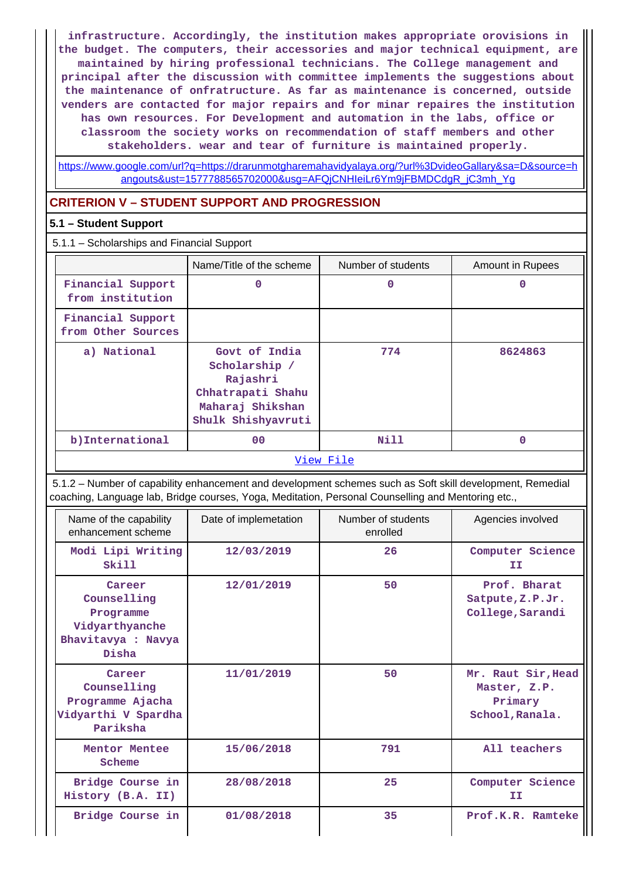**infrastructure. Accordingly, the institution makes appropriate orovisions in the budget. The computers, their accessories and major technical equipment, are maintained by hiring professional technicians. The College management and principal after the discussion with committee implements the suggestions about the maintenance of onfratructure. As far as maintenance is concerned, outside venders are contacted for major repairs and for minar repaires the institution has own resources. For Development and automation in the labs, office or classroom the society works on recommendation of staff members and other stakeholders. wear and tear of furniture is maintained properly.**

[https://www.google.com/url?q=https://drarunmotgharemahavidyalaya.org/?url%3DvideoGallary&sa=D&source=h](https://www.google.com/url?q=https://drarunmotgharemahavidyalaya.org/?url%3DvideoGallary&sa=D&source=hangouts&ust=1577788565702000&usg=AFQjCNHIeiLr6Ym9jFBMDCdgR_jC3mh_Yg) [angouts&ust=1577788565702000&usg=AFQjCNHIeiLr6Ym9jFBMDCdgR\\_jC3mh\\_Yg](https://www.google.com/url?q=https://drarunmotgharemahavidyalaya.org/?url%3DvideoGallary&sa=D&source=hangouts&ust=1577788565702000&usg=AFQjCNHIeiLr6Ym9jFBMDCdgR_jC3mh_Yg)

### **CRITERION V – STUDENT SUPPORT AND PROGRESSION**

### **5.1 – Student Support**

5.1.1 – Scholarships and Financial Support

|                                         | Name/Title of the scheme                                                                                  | Number of students | <b>Amount in Rupees</b> |
|-----------------------------------------|-----------------------------------------------------------------------------------------------------------|--------------------|-------------------------|
| Financial Support<br>from institution   | 0                                                                                                         | 0                  | O                       |
| Financial Support<br>from Other Sources |                                                                                                           |                    |                         |
| a) National                             | Govt of India<br>Scholarship /<br>Rajashri<br>Chhatrapati Shahu<br>Maharaj Shikshan<br>Shulk Shishyavruti | 774                | 8624863                 |
| b) International                        | 0 <sup>0</sup>                                                                                            | <b>Nill</b>        | 0                       |
|                                         |                                                                                                           | View File          |                         |

 5.1.2 – Number of capability enhancement and development schemes such as Soft skill development, Remedial coaching, Language lab, Bridge courses, Yoga, Meditation, Personal Counselling and Mentoring etc.,

| Name of the capability<br>enhancement scheme                                        | Date of implemetation | Number of students<br>enrolled | Agencies involved                                                |
|-------------------------------------------------------------------------------------|-----------------------|--------------------------------|------------------------------------------------------------------|
| Modi Lipi Writing<br>Skill                                                          | 12/03/2019            | 26                             | Computer Science<br>ΙI                                           |
| Career<br>Counselling<br>Programme<br>Vidyarthyanche<br>Bhavitavya : Navya<br>Disha | 12/01/2019            | 50                             | Prof. Bharat<br>Satpute, Z.P.Jr.<br>College, Sarandi             |
| Career<br>Counselling<br>Programme Ajacha<br>Vidyarthi V Spardha<br>Pariksha        | 11/01/2019            | 50                             | Mr. Raut Sir, Head<br>Master, Z.P.<br>Primary<br>School, Ranala. |
| Mentor Mentee<br>Scheme                                                             | 15/06/2018            | 791                            | All teachers                                                     |
| Bridge Course in<br>History (B.A. II)                                               | 28/08/2018            | 25                             | Computer Science<br>IΙ                                           |
| Bridge Course in                                                                    | 01/08/2018            | 35                             | Prof.K.R. Ramteke                                                |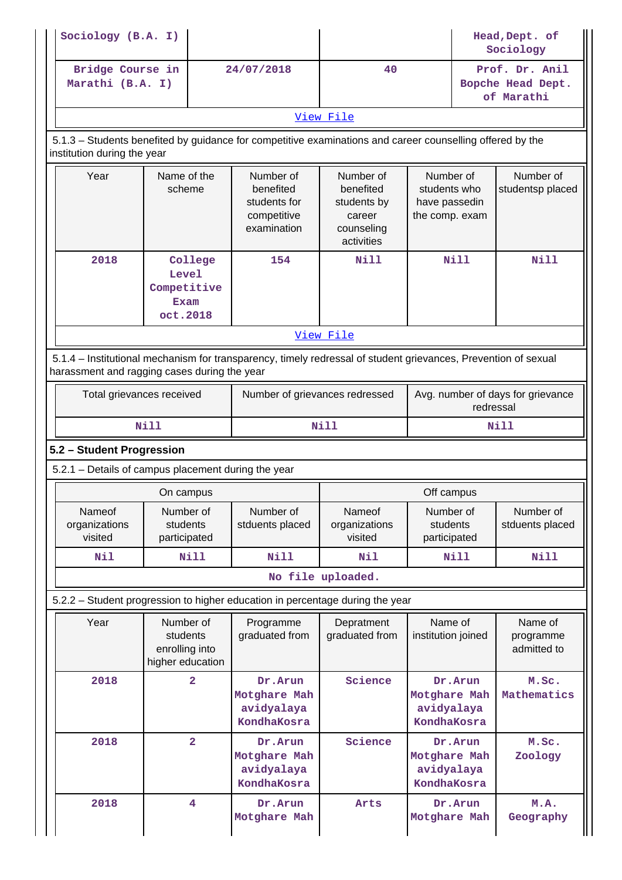| Sociology (B.A. I)                                  |                                                            |                                                                                                                |                                                                             |                                                              | Head, Dept. of<br>Sociology                       |  |  |  |
|-----------------------------------------------------|------------------------------------------------------------|----------------------------------------------------------------------------------------------------------------|-----------------------------------------------------------------------------|--------------------------------------------------------------|---------------------------------------------------|--|--|--|
| Bridge Course in<br>Marathi (B.A. I)                |                                                            | 24/07/2018                                                                                                     | 40                                                                          |                                                              | Prof. Dr. Anil<br>Bopche Head Dept.<br>of Marathi |  |  |  |
| View File                                           |                                                            |                                                                                                                |                                                                             |                                                              |                                                   |  |  |  |
| institution during the year                         |                                                            | 5.1.3 – Students benefited by guidance for competitive examinations and career counselling offered by the      |                                                                             |                                                              |                                                   |  |  |  |
| Year                                                | Name of the<br>scheme                                      | Number of<br>benefited<br>students for<br>competitive<br>examination                                           | Number of<br>benefited<br>students by<br>career<br>counseling<br>activities | Number of<br>students who<br>have passedin<br>the comp. exam | Number of<br>studentsp placed                     |  |  |  |
| 2018                                                | College<br>Level<br>Competitive<br><b>Exam</b><br>oct.2018 | 154                                                                                                            | <b>Nill</b>                                                                 | <b>Nill</b>                                                  | Nill                                              |  |  |  |
|                                                     |                                                            |                                                                                                                | View File                                                                   |                                                              |                                                   |  |  |  |
| harassment and ragging cases during the year        |                                                            | 5.1.4 – Institutional mechanism for transparency, timely redressal of student grievances, Prevention of sexual |                                                                             |                                                              |                                                   |  |  |  |
|                                                     | Total grievances received                                  | Number of grievances redressed                                                                                 |                                                                             |                                                              | Avg. number of days for grievance<br>redressal    |  |  |  |
|                                                     | <b>Nill</b>                                                |                                                                                                                | <b>Nill</b>                                                                 | Nill                                                         |                                                   |  |  |  |
| 5.2 - Student Progression                           |                                                            |                                                                                                                |                                                                             |                                                              |                                                   |  |  |  |
| 5.2.1 - Details of campus placement during the year |                                                            |                                                                                                                |                                                                             |                                                              |                                                   |  |  |  |
|                                                     | On campus                                                  |                                                                                                                | Off campus                                                                  |                                                              |                                                   |  |  |  |
| Nameof<br>organizations<br>visited                  | Number of<br>students<br>participated                      | Number of<br>stduents placed                                                                                   | Nameof<br>organizations<br>visited                                          | Number of<br>students<br>participated                        | Number of<br>stduents placed                      |  |  |  |
| Nil                                                 | <b>Nill</b>                                                | Nill<br>Nil                                                                                                    |                                                                             |                                                              | <b>Nill</b>                                       |  |  |  |
|                                                     |                                                            |                                                                                                                | No file uploaded.                                                           |                                                              |                                                   |  |  |  |
|                                                     |                                                            | 5.2.2 - Student progression to higher education in percentage during the year                                  |                                                                             |                                                              |                                                   |  |  |  |
| Year                                                | Number of<br>students                                      | Programme<br>graduated from                                                                                    | Depratment<br>graduated from                                                | Name of<br>institution joined                                | Name of<br>programme<br>admitted to               |  |  |  |
|                                                     | enrolling into<br>higher education                         |                                                                                                                |                                                                             |                                                              |                                                   |  |  |  |
| 2018                                                | $\overline{a}$                                             | Dr.Arun<br>Motghare Mah<br>avidyalaya<br>KondhaKosra                                                           | Science                                                                     | Dr.Arun<br>Motghare Mah<br>avidyalaya<br>KondhaKosra         | M.Sc.<br>Mathematics                              |  |  |  |
| 2018                                                | $\overline{\mathbf{2}}$                                    | Dr.Arun<br>Motghare Mah<br>avidyalaya<br>KondhaKosra                                                           | Science                                                                     | Dr. Arun<br>Motghare Mah<br>avidyalaya<br>KondhaKosra        | M.Sc.<br>Zoology                                  |  |  |  |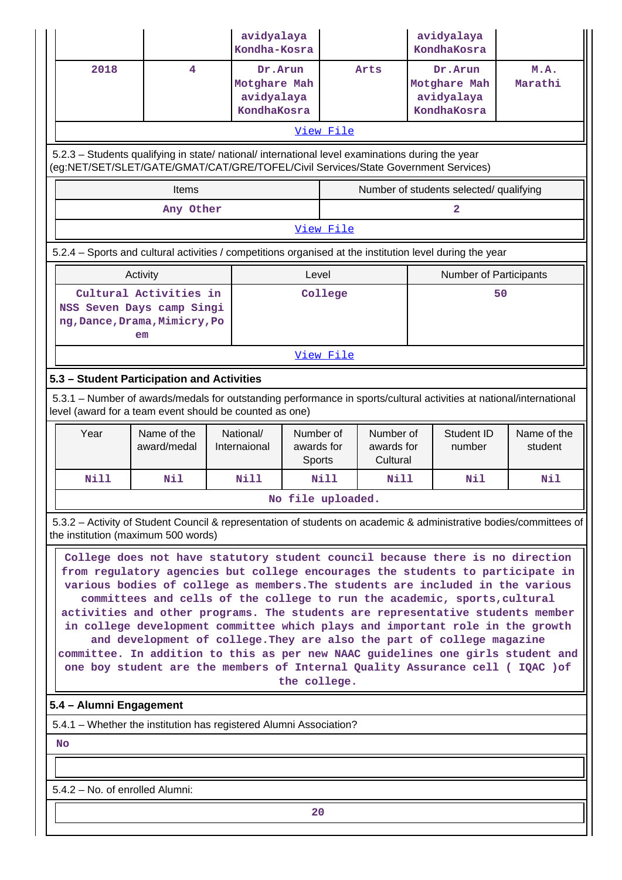|                                                                                                                                                                                                                                                                                                                                                                                                                                                                                                                                                                                                                                                                                                                                                                  |                                                      | avidyalaya<br>Kondha-Kosra |                                   |                  |                                     |                                                      | avidyalaya<br>KondhaKosra               |                                                                                                                     |  |
|------------------------------------------------------------------------------------------------------------------------------------------------------------------------------------------------------------------------------------------------------------------------------------------------------------------------------------------------------------------------------------------------------------------------------------------------------------------------------------------------------------------------------------------------------------------------------------------------------------------------------------------------------------------------------------------------------------------------------------------------------------------|------------------------------------------------------|----------------------------|-----------------------------------|------------------|-------------------------------------|------------------------------------------------------|-----------------------------------------|---------------------------------------------------------------------------------------------------------------------|--|
| 2018                                                                                                                                                                                                                                                                                                                                                                                                                                                                                                                                                                                                                                                                                                                                                             | Dr.Arun<br>Motghare Mah<br>avidyalaya<br>KondhaKosra |                            |                                   | Arts             |                                     | Dr.Arun<br>Motghare Mah<br>avidyalaya<br>KondhaKosra | M.A.<br>Marathi                         |                                                                                                                     |  |
| View File                                                                                                                                                                                                                                                                                                                                                                                                                                                                                                                                                                                                                                                                                                                                                        |                                                      |                            |                                   |                  |                                     |                                                      |                                         |                                                                                                                     |  |
| 5.2.3 - Students qualifying in state/ national/ international level examinations during the year<br>(eg:NET/SET/SLET/GATE/GMAT/CAT/GRE/TOFEL/Civil Services/State Government Services)                                                                                                                                                                                                                                                                                                                                                                                                                                                                                                                                                                           |                                                      |                            |                                   |                  |                                     |                                                      |                                         |                                                                                                                     |  |
|                                                                                                                                                                                                                                                                                                                                                                                                                                                                                                                                                                                                                                                                                                                                                                  | Items                                                |                            |                                   |                  |                                     |                                                      | Number of students selected/ qualifying |                                                                                                                     |  |
|                                                                                                                                                                                                                                                                                                                                                                                                                                                                                                                                                                                                                                                                                                                                                                  | Any Other                                            |                            |                                   |                  |                                     |                                                      | 2                                       |                                                                                                                     |  |
|                                                                                                                                                                                                                                                                                                                                                                                                                                                                                                                                                                                                                                                                                                                                                                  |                                                      |                            |                                   | View File        |                                     |                                                      |                                         |                                                                                                                     |  |
| 5.2.4 - Sports and cultural activities / competitions organised at the institution level during the year                                                                                                                                                                                                                                                                                                                                                                                                                                                                                                                                                                                                                                                         |                                                      |                            |                                   |                  |                                     |                                                      |                                         |                                                                                                                     |  |
|                                                                                                                                                                                                                                                                                                                                                                                                                                                                                                                                                                                                                                                                                                                                                                  | Activity                                             |                            | Level                             |                  |                                     |                                                      | Number of Participants                  |                                                                                                                     |  |
| NSS Seven Days camp Singi<br>ng, Dance, Drama, Mimicry, Po                                                                                                                                                                                                                                                                                                                                                                                                                                                                                                                                                                                                                                                                                                       | Cultural Activities in<br>em                         |                            |                                   | College          |                                     |                                                      |                                         | 50                                                                                                                  |  |
|                                                                                                                                                                                                                                                                                                                                                                                                                                                                                                                                                                                                                                                                                                                                                                  |                                                      |                            |                                   | View File        |                                     |                                                      |                                         |                                                                                                                     |  |
| 5.3 - Student Participation and Activities                                                                                                                                                                                                                                                                                                                                                                                                                                                                                                                                                                                                                                                                                                                       |                                                      |                            |                                   |                  |                                     |                                                      |                                         |                                                                                                                     |  |
| level (award for a team event should be counted as one)                                                                                                                                                                                                                                                                                                                                                                                                                                                                                                                                                                                                                                                                                                          |                                                      |                            |                                   |                  |                                     |                                                      |                                         | 5.3.1 – Number of awards/medals for outstanding performance in sports/cultural activities at national/international |  |
| Year                                                                                                                                                                                                                                                                                                                                                                                                                                                                                                                                                                                                                                                                                                                                                             | Name of the<br>award/medal                           | National/<br>Internaional  | Number of<br>awards for<br>Sports |                  | Number of<br>awards for<br>Cultural |                                                      | Student ID<br>number                    | Name of the<br>student                                                                                              |  |
| Nill                                                                                                                                                                                                                                                                                                                                                                                                                                                                                                                                                                                                                                                                                                                                                             | Nil                                                  | <b>Nill</b>                |                                   | Nill             | Nill                                |                                                      | Nil                                     | Nil                                                                                                                 |  |
|                                                                                                                                                                                                                                                                                                                                                                                                                                                                                                                                                                                                                                                                                                                                                                  |                                                      |                            |                                   | No file uploaded |                                     |                                                      |                                         |                                                                                                                     |  |
| the institution (maximum 500 words)                                                                                                                                                                                                                                                                                                                                                                                                                                                                                                                                                                                                                                                                                                                              |                                                      |                            |                                   |                  |                                     |                                                      |                                         | 5.3.2 - Activity of Student Council & representation of students on academic & administrative bodies/committees of  |  |
| College does not have statutory student council because there is no direction<br>from regulatory agencies but college encourages the students to participate in<br>various bodies of college as members. The students are included in the various<br>committees and cells of the college to run the academic, sports, cultural<br>activities and other programs. The students are representative students member<br>in college development committee which plays and important role in the growth<br>and development of college. They are also the part of college magazine<br>committee. In addition to this as per new NAAC guidelines one girls student and<br>one boy student are the members of Internal Quality Assurance cell ( IQAC ) of<br>the college. |                                                      |                            |                                   |                  |                                     |                                                      |                                         |                                                                                                                     |  |
| 5.4 - Alumni Engagement                                                                                                                                                                                                                                                                                                                                                                                                                                                                                                                                                                                                                                                                                                                                          |                                                      |                            |                                   |                  |                                     |                                                      |                                         |                                                                                                                     |  |
| 5.4.1 - Whether the institution has registered Alumni Association?                                                                                                                                                                                                                                                                                                                                                                                                                                                                                                                                                                                                                                                                                               |                                                      |                            |                                   |                  |                                     |                                                      |                                         |                                                                                                                     |  |
| <b>No</b>                                                                                                                                                                                                                                                                                                                                                                                                                                                                                                                                                                                                                                                                                                                                                        |                                                      |                            |                                   |                  |                                     |                                                      |                                         |                                                                                                                     |  |
|                                                                                                                                                                                                                                                                                                                                                                                                                                                                                                                                                                                                                                                                                                                                                                  |                                                      |                            |                                   |                  |                                     |                                                      |                                         |                                                                                                                     |  |
| 5.4.2 - No. of enrolled Alumni:                                                                                                                                                                                                                                                                                                                                                                                                                                                                                                                                                                                                                                                                                                                                  |                                                      |                            |                                   |                  |                                     |                                                      |                                         |                                                                                                                     |  |
| 20                                                                                                                                                                                                                                                                                                                                                                                                                                                                                                                                                                                                                                                                                                                                                               |                                                      |                            |                                   |                  |                                     |                                                      |                                         |                                                                                                                     |  |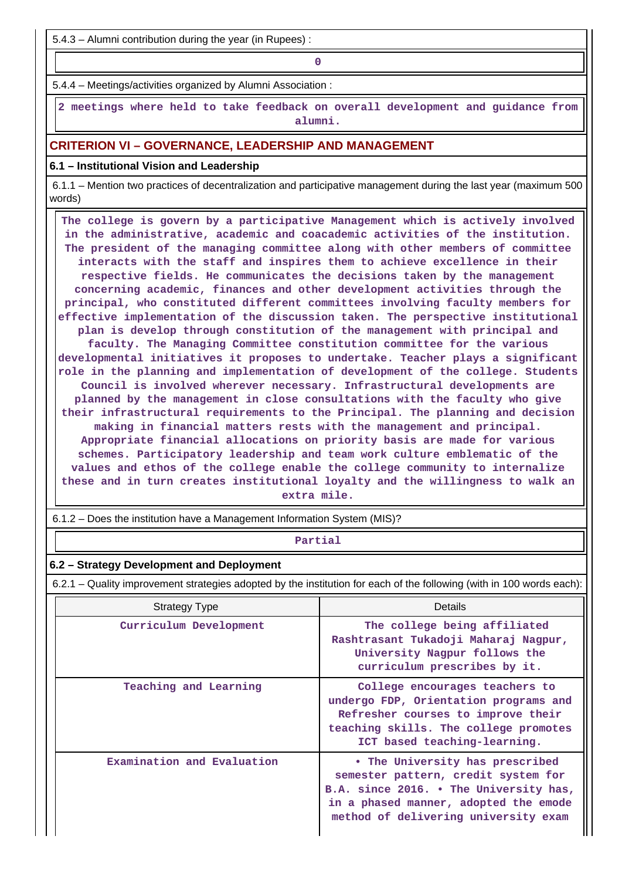5.4.3 – Alumni contribution during the year (in Rupees) :

**0**

5.4.4 – Meetings/activities organized by Alumni Association :

 **2 meetings where held to take feedback on overall development and guidance from alumni.**

### **CRITERION VI – GOVERNANCE, LEADERSHIP AND MANAGEMENT**

#### **6.1 – Institutional Vision and Leadership**

 6.1.1 – Mention two practices of decentralization and participative management during the last year (maximum 500 words)

 **The college is govern by a participative Management which is actively involved in the administrative, academic and coacademic activities of the institution. The president of the managing committee along with other members of committee interacts with the staff and inspires them to achieve excellence in their respective fields. He communicates the decisions taken by the management concerning academic, finances and other development activities through the principal, who constituted different committees involving faculty members for effective implementation of the discussion taken. The perspective institutional plan is develop through constitution of the management with principal and faculty. The Managing Committee constitution committee for the various developmental initiatives it proposes to undertake. Teacher plays a significant role in the planning and implementation of development of the college. Students Council is involved wherever necessary. Infrastructural developments are planned by the management in close consultations with the faculty who give their infrastructural requirements to the Principal. The planning and decision making in financial matters rests with the management and principal. Appropriate financial allocations on priority basis are made for various schemes. Participatory leadership and team work culture emblematic of the values and ethos of the college enable the college community to internalize these and in turn creates institutional loyalty and the willingness to walk an extra mile.**

6.1.2 – Does the institution have a Management Information System (MIS)?

### **Partial**

#### **6.2 – Strategy Development and Deployment**

6.2.1 – Quality improvement strategies adopted by the institution for each of the following (with in 100 words each):

| <b>Strategy Type</b>       | Details                                                                                                                                                                                           |
|----------------------------|---------------------------------------------------------------------------------------------------------------------------------------------------------------------------------------------------|
| Curriculum Development     | The college being affiliated<br>Rashtrasant Tukadoji Maharaj Nagpur,<br>University Nagpur follows the<br>curriculum prescribes by it.                                                             |
| Teaching and Learning      | College encourages teachers to<br>undergo FDP, Orientation programs and<br>Refresher courses to improve their<br>teaching skills. The college promotes<br>ICT based teaching-learning.            |
| Examination and Evaluation | • The University has prescribed<br>semester pattern, credit system for<br>B.A. since 2016. • The University has,<br>in a phased manner, adopted the emode<br>method of delivering university exam |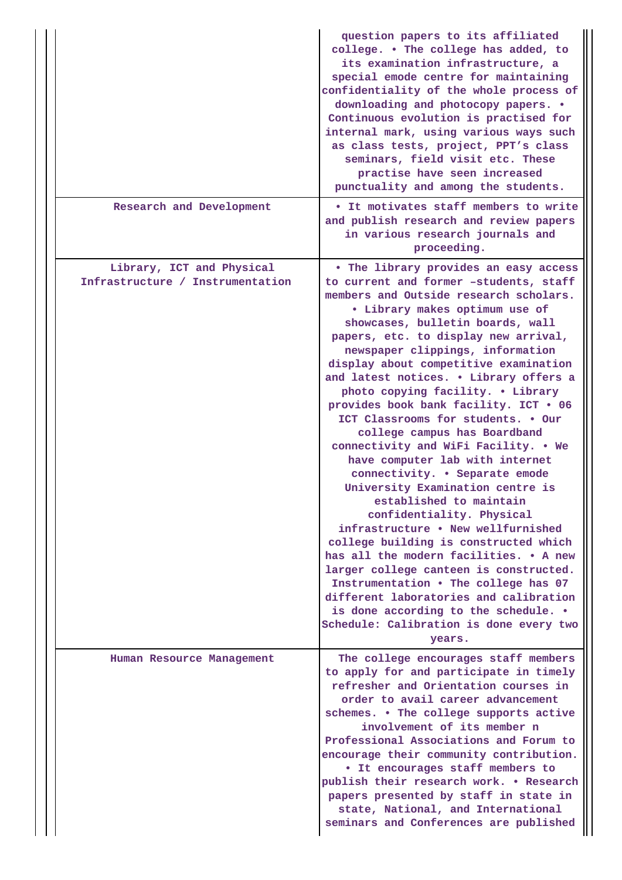|                                                               | question papers to its affiliated<br>college. . The college has added, to<br>its examination infrastructure, a<br>special emode centre for maintaining<br>confidentiality of the whole process of<br>downloading and photocopy papers. .<br>Continuous evolution is practised for<br>internal mark, using various ways such<br>as class tests, project, PPT's class<br>seminars, field visit etc. These<br>practise have seen increased<br>punctuality and among the students.                                                                                                                                                                                                                                                                                                                                                                                                                                                                                                                                                                                                |
|---------------------------------------------------------------|-------------------------------------------------------------------------------------------------------------------------------------------------------------------------------------------------------------------------------------------------------------------------------------------------------------------------------------------------------------------------------------------------------------------------------------------------------------------------------------------------------------------------------------------------------------------------------------------------------------------------------------------------------------------------------------------------------------------------------------------------------------------------------------------------------------------------------------------------------------------------------------------------------------------------------------------------------------------------------------------------------------------------------------------------------------------------------|
| Research and Development                                      | • It motivates staff members to write<br>and publish research and review papers<br>in various research journals and<br>proceeding.                                                                                                                                                                                                                                                                                                                                                                                                                                                                                                                                                                                                                                                                                                                                                                                                                                                                                                                                            |
| Library, ICT and Physical<br>Infrastructure / Instrumentation | • The library provides an easy access<br>to current and former -students, staff<br>members and Outside research scholars.<br>· Library makes optimum use of<br>showcases, bulletin boards, wall<br>papers, etc. to display new arrival,<br>newspaper clippings, information<br>display about competitive examination<br>and latest notices. . Library offers a<br>photo copying facility. . Library<br>provides book bank facility. ICT . 06<br>ICT Classrooms for students. . Our<br>college campus has Boardband<br>connectivity and WiFi Facility. . We<br>have computer lab with internet<br>connectivity. • Separate emode<br>University Examination centre is<br>established to maintain<br>confidentiality. Physical<br>infrastructure . New wellfurnished<br>college building is constructed which<br>has all the modern facilities. . A new<br>larger college canteen is constructed.<br>Instrumentation . The college has 07<br>different laboratories and calibration<br>is done according to the schedule. .<br>Schedule: Calibration is done every two<br>years. |
| Human Resource Management                                     | The college encourages staff members<br>to apply for and participate in timely<br>refresher and Orientation courses in<br>order to avail career advancement<br>schemes. . The college supports active<br>involvement of its member n<br>Professional Associations and Forum to<br>encourage their community contribution.<br>• It encourages staff members to<br>publish their research work. . Research<br>papers presented by staff in state in<br>state, National, and International<br>seminars and Conferences are published                                                                                                                                                                                                                                                                                                                                                                                                                                                                                                                                             |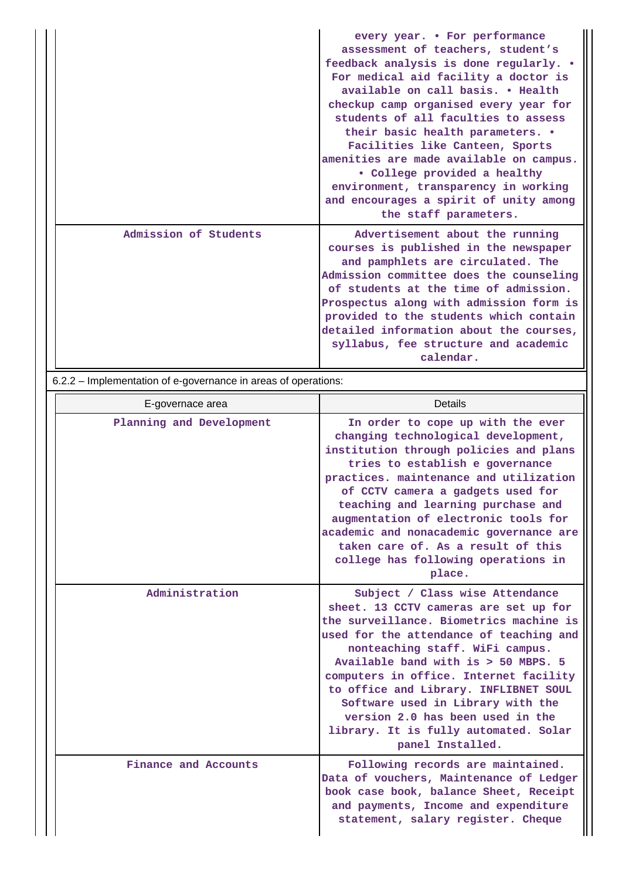|                       | every year. • For performance<br>assessment of teachers, student's<br>feedback analysis is done regularly. .<br>For medical aid facility a doctor is<br>available on call basis. . Health<br>checkup camp organised every year for<br>students of all faculties to assess<br>their basic health parameters. •<br>Facilities like Canteen, Sports<br>amenities are made available on campus.<br>• College provided a healthy<br>environment, transparency in working<br>and encourages a spirit of unity among<br>the staff parameters. |
|-----------------------|----------------------------------------------------------------------------------------------------------------------------------------------------------------------------------------------------------------------------------------------------------------------------------------------------------------------------------------------------------------------------------------------------------------------------------------------------------------------------------------------------------------------------------------|
| Admission of Students | Advertisement about the running<br>courses is published in the newspaper<br>and pamphlets are circulated. The<br>Admission committee does the counseling<br>of students at the time of admission.<br>Prospectus along with admission form is<br>provided to the students which contain<br>detailed information about the courses,<br>syllabus, fee structure and academic<br>calendar.                                                                                                                                                 |

6.2.2 – Implementation of e-governance in areas of operations:

|  | E-governace area         | Details                                                                                                                                                                                                                                                                                                                                                                                                                                                           |
|--|--------------------------|-------------------------------------------------------------------------------------------------------------------------------------------------------------------------------------------------------------------------------------------------------------------------------------------------------------------------------------------------------------------------------------------------------------------------------------------------------------------|
|  | Planning and Development | In order to cope up with the ever<br>changing technological development,<br>institution through policies and plans<br>tries to establish e governance<br>practices. maintenance and utilization<br>of CCTV camera a gadgets used for<br>teaching and learning purchase and<br>augmentation of electronic tools for<br>academic and nonacademic governance are<br>taken care of. As a result of this<br>college has following operations in<br>place.              |
|  | Administration           | Subject / Class wise Attendance<br>sheet. 13 CCTV cameras are set up for<br>the surveillance. Biometrics machine is<br>used for the attendance of teaching and<br>nonteaching staff. WiFi campus.<br>Available band with is > 50 MBPS. 5<br>computers in office. Internet facility<br>to office and Library. INFLIBNET SOUL<br>Software used in Library with the<br>version 2.0 has been used in the<br>library. It is fully automated. Solar<br>panel Installed. |
|  | Finance and Accounts     | Following records are maintained.<br>Data of vouchers, Maintenance of Ledger<br>book case book, balance Sheet, Receipt<br>and payments, Income and expenditure<br>statement, salary register. Cheque                                                                                                                                                                                                                                                              |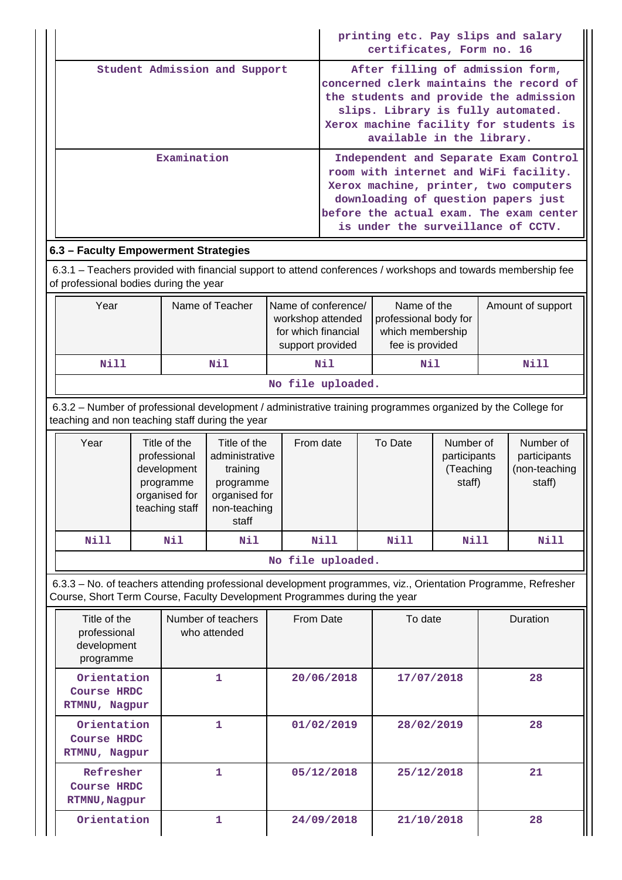|                                                                                                                                                                 |                               |                                                                                                                                                                                            |                                                                                                   |  |                                                                                     | printing etc. Pay slips and salary                                          |                                                  |                   |                                                                                                                                                                    |
|-----------------------------------------------------------------------------------------------------------------------------------------------------------------|-------------------------------|--------------------------------------------------------------------------------------------------------------------------------------------------------------------------------------------|---------------------------------------------------------------------------------------------------|--|-------------------------------------------------------------------------------------|-----------------------------------------------------------------------------|--------------------------------------------------|-------------------|--------------------------------------------------------------------------------------------------------------------------------------------------------------------|
|                                                                                                                                                                 |                               |                                                                                                                                                                                            |                                                                                                   |  | certificates, Form no. 16                                                           |                                                                             |                                                  |                   |                                                                                                                                                                    |
|                                                                                                                                                                 | Student Admission and Support |                                                                                                                                                                                            |                                                                                                   |  |                                                                                     | After filling of admission form,<br>slips. Library is fully automated.      |                                                  |                   | concerned clerk maintains the record of<br>the students and provide the admission<br>Xerox machine facility for students is                                        |
|                                                                                                                                                                 |                               |                                                                                                                                                                                            |                                                                                                   |  |                                                                                     | available in the library.                                                   |                                                  |                   |                                                                                                                                                                    |
|                                                                                                                                                                 | Examination                   |                                                                                                                                                                                            |                                                                                                   |  |                                                                                     | downloading of question papers just<br>is under the surveillance of CCTV.   |                                                  |                   | Independent and Separate Exam Control<br>room with internet and WiFi facility.<br>Xerox machine, printer, two computers<br>before the actual exam. The exam center |
| 6.3 - Faculty Empowerment Strategies                                                                                                                            |                               |                                                                                                                                                                                            |                                                                                                   |  |                                                                                     |                                                                             |                                                  |                   |                                                                                                                                                                    |
| 6.3.1 – Teachers provided with financial support to attend conferences / workshops and towards membership fee<br>of professional bodies during the year         |                               |                                                                                                                                                                                            |                                                                                                   |  |                                                                                     |                                                                             |                                                  |                   |                                                                                                                                                                    |
| Year                                                                                                                                                            |                               |                                                                                                                                                                                            | Name of Teacher                                                                                   |  | Name of conference/<br>workshop attended<br>for which financial<br>support provided | Name of the<br>professional body for<br>which membership<br>fee is provided |                                                  | Amount of support |                                                                                                                                                                    |
| <b>Nill</b>                                                                                                                                                     |                               |                                                                                                                                                                                            | Nil                                                                                               |  | Nil                                                                                 | Nil                                                                         |                                                  | Nill              |                                                                                                                                                                    |
|                                                                                                                                                                 |                               |                                                                                                                                                                                            |                                                                                                   |  | No file uploaded.                                                                   |                                                                             |                                                  |                   |                                                                                                                                                                    |
| 6.3.2 – Number of professional development / administrative training programmes organized by the College for<br>teaching and non teaching staff during the year |                               |                                                                                                                                                                                            |                                                                                                   |  |                                                                                     |                                                                             |                                                  |                   |                                                                                                                                                                    |
| Year                                                                                                                                                            |                               | Title of the<br>professional<br>development<br>programme<br>organised for<br>teaching staff                                                                                                | Title of the<br>administrative<br>training<br>programme<br>organised for<br>non-teaching<br>staff |  | From date                                                                           | To Date                                                                     | Number of<br>participants<br>(Teaching<br>staff) |                   | Number of<br>participants<br>(non-teaching<br>staff)                                                                                                               |
| Nill                                                                                                                                                            |                               | Nil                                                                                                                                                                                        | Nil                                                                                               |  | Nill                                                                                | Nill                                                                        | Nill                                             |                   | Nill                                                                                                                                                               |
|                                                                                                                                                                 |                               |                                                                                                                                                                                            |                                                                                                   |  | No file uploaded.                                                                   |                                                                             |                                                  |                   |                                                                                                                                                                    |
|                                                                                                                                                                 |                               | 6.3.3 - No. of teachers attending professional development programmes, viz., Orientation Programme, Refresher<br>Course, Short Term Course, Faculty Development Programmes during the year |                                                                                                   |  |                                                                                     |                                                                             |                                                  |                   |                                                                                                                                                                    |
| Title of the                                                                                                                                                    |                               |                                                                                                                                                                                            |                                                                                                   |  |                                                                                     |                                                                             |                                                  |                   |                                                                                                                                                                    |
| professional<br>development<br>programme                                                                                                                        |                               |                                                                                                                                                                                            | Number of teachers<br>who attended                                                                |  | From Date                                                                           | To date                                                                     |                                                  |                   | Duration                                                                                                                                                           |
| Orientation<br>Course HRDC<br>RTMNU, Nagpur                                                                                                                     |                               |                                                                                                                                                                                            | 1                                                                                                 |  | 20/06/2018                                                                          | 17/07/2018                                                                  |                                                  |                   | 28                                                                                                                                                                 |
| Orientation<br>Course HRDC<br>RTMNU, Nagpur                                                                                                                     |                               |                                                                                                                                                                                            | 1                                                                                                 |  | 01/02/2019                                                                          | 28/02/2019                                                                  |                                                  |                   | 28                                                                                                                                                                 |
| Refresher<br>Course HRDC<br>RTMNU, Nagpur                                                                                                                       |                               |                                                                                                                                                                                            | 1                                                                                                 |  | 05/12/2018                                                                          | 25/12/2018                                                                  |                                                  |                   | 21                                                                                                                                                                 |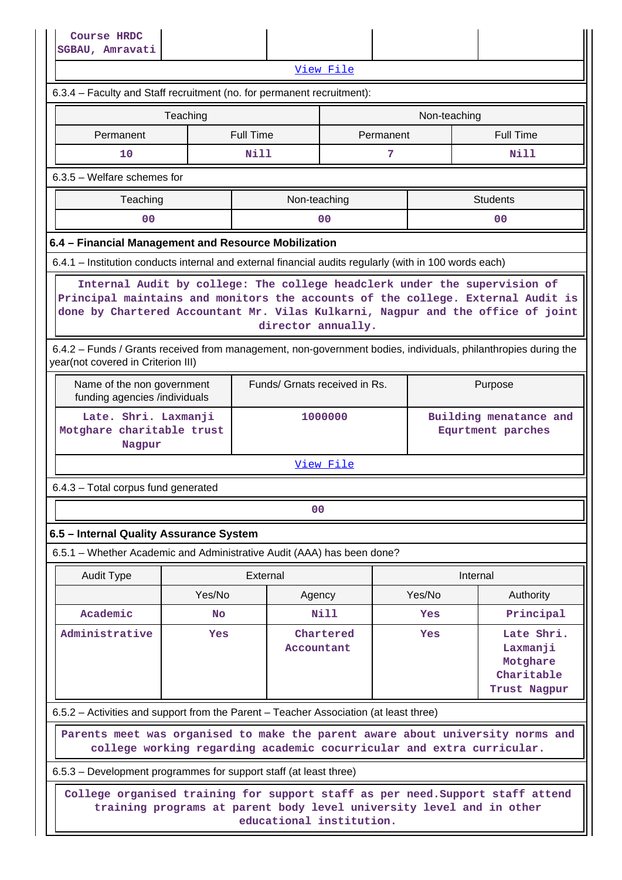|                                                                                                                                                                                                                                                                       | popho, mutavaci |                                                                       |                               |           |              |          |                                                                  |
|-----------------------------------------------------------------------------------------------------------------------------------------------------------------------------------------------------------------------------------------------------------------------|-----------------|-----------------------------------------------------------------------|-------------------------------|-----------|--------------|----------|------------------------------------------------------------------|
| <u>View File</u>                                                                                                                                                                                                                                                      |                 |                                                                       |                               |           |              |          |                                                                  |
| 6.3.4 - Faculty and Staff recruitment (no. for permanent recruitment):                                                                                                                                                                                                |                 |                                                                       |                               |           |              |          |                                                                  |
|                                                                                                                                                                                                                                                                       | Teaching        |                                                                       |                               |           | Non-teaching |          |                                                                  |
| Permanent                                                                                                                                                                                                                                                             |                 | <b>Full Time</b>                                                      |                               | Permanent |              |          | <b>Full Time</b>                                                 |
| 10                                                                                                                                                                                                                                                                    |                 | <b>Nill</b>                                                           |                               | 7         |              |          | <b>Nill</b>                                                      |
| $6.3.5$ – Welfare schemes for                                                                                                                                                                                                                                         |                 |                                                                       |                               |           |              |          |                                                                  |
| Non-teaching<br><b>Students</b><br>Teaching                                                                                                                                                                                                                           |                 |                                                                       |                               |           |              |          |                                                                  |
| 0 <sub>0</sub><br>0 <sub>0</sub><br>0 <sub>0</sub>                                                                                                                                                                                                                    |                 |                                                                       |                               |           |              |          |                                                                  |
| 6.4 - Financial Management and Resource Mobilization                                                                                                                                                                                                                  |                 |                                                                       |                               |           |              |          |                                                                  |
| 6.4.1 - Institution conducts internal and external financial audits regularly (with in 100 words each)                                                                                                                                                                |                 |                                                                       |                               |           |              |          |                                                                  |
| Internal Audit by college: The college headclerk under the supervision of<br>Principal maintains and monitors the accounts of the college. External Audit is<br>done by Chartered Accountant Mr. Vilas Kulkarni, Nagpur and the office of joint<br>director annually. |                 |                                                                       |                               |           |              |          |                                                                  |
| 6.4.2 - Funds / Grants received from management, non-government bodies, individuals, philanthropies during the<br>year(not covered in Criterion III)                                                                                                                  |                 |                                                                       |                               |           |              |          |                                                                  |
| Name of the non government<br>funding agencies /individuals                                                                                                                                                                                                           |                 |                                                                       | Funds/ Grnats received in Rs. |           |              |          | Purpose                                                          |
| Late. Shri. Laxmanji<br>Motghare charitable trust<br>Nagpur                                                                                                                                                                                                           |                 |                                                                       | 1000000                       |           |              |          | Building menatance and<br>Equrtment parches                      |
|                                                                                                                                                                                                                                                                       |                 |                                                                       | View File                     |           |              |          |                                                                  |
| 6.4.3 - Total corpus fund generated                                                                                                                                                                                                                                   |                 |                                                                       |                               |           |              |          |                                                                  |
|                                                                                                                                                                                                                                                                       |                 |                                                                       | 00                            |           |              |          |                                                                  |
| 6.5 - Internal Quality Assurance System                                                                                                                                                                                                                               |                 |                                                                       |                               |           |              |          |                                                                  |
| 6.5.1 – Whether Academic and Administrative Audit (AAA) has been done?                                                                                                                                                                                                |                 |                                                                       |                               |           |              |          |                                                                  |
| <b>Audit Type</b>                                                                                                                                                                                                                                                     |                 | External                                                              |                               |           |              | Internal |                                                                  |
|                                                                                                                                                                                                                                                                       | Yes/No          |                                                                       | Agency                        |           | Yes/No       |          | Authority                                                        |
| Academic                                                                                                                                                                                                                                                              | <b>No</b>       |                                                                       | <b>Nill</b>                   |           | Yes          |          | Principal                                                        |
| Administrative                                                                                                                                                                                                                                                        | <b>Yes</b>      |                                                                       | Chartered<br>Accountant       |           | <b>Yes</b>   |          | Late Shri.<br>Laxmanji<br>Motghare<br>Charitable<br>Trust Nagpur |
| 6.5.2 – Activities and support from the Parent – Teacher Association (at least three)                                                                                                                                                                                 |                 |                                                                       |                               |           |              |          |                                                                  |
| Parents meet was organised to make the parent aware about university norms and                                                                                                                                                                                        |                 | college working regarding academic cocurricular and extra curricular. |                               |           |              |          |                                                                  |
|                                                                                                                                                                                                                                                                       |                 |                                                                       |                               |           |              |          |                                                                  |
| 6.5.3 – Development programmes for support staff (at least three)<br>College organised training for support staff as per need. Support staff attend<br>training programs at parent body level university level and in other<br>educational institution.               |                 |                                                                       |                               |           |              |          |                                                                  |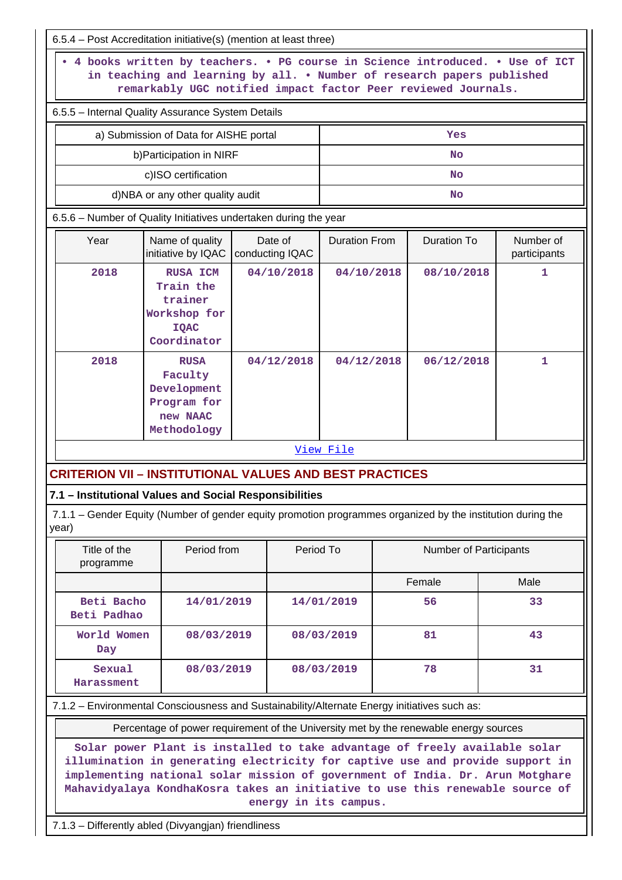| 6.5.4 – Post Accreditation initiative(s) (mention at least three)                                                                                                                                                       |                                                                                                                                                                                                                                                                                                                                                                                                                                                 |                            |            |                      |  |                               |                           |
|-------------------------------------------------------------------------------------------------------------------------------------------------------------------------------------------------------------------------|-------------------------------------------------------------------------------------------------------------------------------------------------------------------------------------------------------------------------------------------------------------------------------------------------------------------------------------------------------------------------------------------------------------------------------------------------|----------------------------|------------|----------------------|--|-------------------------------|---------------------------|
| 4 books written by teachers. . PG course in Science introduced. . Use of ICT<br>in teaching and learning by all. . Number of research papers published<br>remarkably UGC notified impact factor Peer reviewed Journals. |                                                                                                                                                                                                                                                                                                                                                                                                                                                 |                            |            |                      |  |                               |                           |
| 6.5.5 - Internal Quality Assurance System Details                                                                                                                                                                       |                                                                                                                                                                                                                                                                                                                                                                                                                                                 |                            |            |                      |  |                               |                           |
| a) Submission of Data for AISHE portal                                                                                                                                                                                  |                                                                                                                                                                                                                                                                                                                                                                                                                                                 |                            | Yes        |                      |  |                               |                           |
|                                                                                                                                                                                                                         | b) Participation in NIRF                                                                                                                                                                                                                                                                                                                                                                                                                        |                            |            |                      |  | <b>No</b>                     |                           |
|                                                                                                                                                                                                                         | c)ISO certification                                                                                                                                                                                                                                                                                                                                                                                                                             |                            |            |                      |  | No                            |                           |
| d)NBA or any other quality audit                                                                                                                                                                                        |                                                                                                                                                                                                                                                                                                                                                                                                                                                 |                            |            | No                   |  |                               |                           |
| 6.5.6 - Number of Quality Initiatives undertaken during the year                                                                                                                                                        |                                                                                                                                                                                                                                                                                                                                                                                                                                                 |                            |            |                      |  |                               |                           |
| Year                                                                                                                                                                                                                    | Name of quality<br>initiative by IQAC                                                                                                                                                                                                                                                                                                                                                                                                           | Date of<br>conducting IQAC |            | <b>Duration From</b> |  | <b>Duration To</b>            | Number of<br>participants |
| 2018                                                                                                                                                                                                                    | <b>RUSA ICM</b><br>Train the                                                                                                                                                                                                                                                                                                                                                                                                                    |                            | 04/10/2018 | 04/10/2018           |  | 08/10/2018                    | 1                         |
|                                                                                                                                                                                                                         | trainer<br>Workshop for<br><b>IQAC</b><br>Coordinator                                                                                                                                                                                                                                                                                                                                                                                           |                            |            |                      |  |                               |                           |
| 2018                                                                                                                                                                                                                    | <b>RUSA</b><br>Faculty<br>Development<br>Program for<br>new NAAC<br>Methodology                                                                                                                                                                                                                                                                                                                                                                 | 04/12/2018                 |            | 04/12/2018           |  | 06/12/2018                    | 1                         |
|                                                                                                                                                                                                                         |                                                                                                                                                                                                                                                                                                                                                                                                                                                 |                            |            | View File            |  |                               |                           |
| <b>CRITERION VII - INSTITUTIONAL VALUES AND BEST PRACTICES</b>                                                                                                                                                          |                                                                                                                                                                                                                                                                                                                                                                                                                                                 |                            |            |                      |  |                               |                           |
| 7.1 - Institutional Values and Social Responsibilities                                                                                                                                                                  |                                                                                                                                                                                                                                                                                                                                                                                                                                                 |                            |            |                      |  |                               |                           |
| 7.1.1 - Gender Equity (Number of gender equity promotion programmes organized by the institution during the<br>year)                                                                                                    |                                                                                                                                                                                                                                                                                                                                                                                                                                                 |                            |            |                      |  |                               |                           |
| Title of the<br>programme                                                                                                                                                                                               | Period from                                                                                                                                                                                                                                                                                                                                                                                                                                     |                            | Period To  |                      |  | <b>Number of Participants</b> |                           |
|                                                                                                                                                                                                                         |                                                                                                                                                                                                                                                                                                                                                                                                                                                 |                            |            |                      |  | Female                        | Male                      |
| Beti Bacho<br>Beti Padhao                                                                                                                                                                                               | 14/01/2019                                                                                                                                                                                                                                                                                                                                                                                                                                      |                            |            | 14/01/2019           |  | 56                            | 33                        |
| World Women<br>Day                                                                                                                                                                                                      | 08/03/2019                                                                                                                                                                                                                                                                                                                                                                                                                                      |                            |            | 08/03/2019           |  | 81                            | 43                        |
| Sexual<br>Harassment                                                                                                                                                                                                    | 08/03/2019                                                                                                                                                                                                                                                                                                                                                                                                                                      |                            |            | 08/03/2019           |  | 78                            | 31                        |
| 7.1.2 - Environmental Consciousness and Sustainability/Alternate Energy initiatives such as:                                                                                                                            |                                                                                                                                                                                                                                                                                                                                                                                                                                                 |                            |            |                      |  |                               |                           |
|                                                                                                                                                                                                                         |                                                                                                                                                                                                                                                                                                                                                                                                                                                 |                            |            |                      |  |                               |                           |
|                                                                                                                                                                                                                         | Percentage of power requirement of the University met by the renewable energy sources<br>Solar power Plant is installed to take advantage of freely available solar<br>illumination in generating electricity for captive use and provide support in<br>implementing national solar mission of government of India. Dr. Arun Motghare<br>Mahavidyalaya KondhaKosra takes an initiative to use this renewable source of<br>energy in its campus. |                            |            |                      |  |                               |                           |

7.1.3 – Differently abled (Divyangjan) friendliness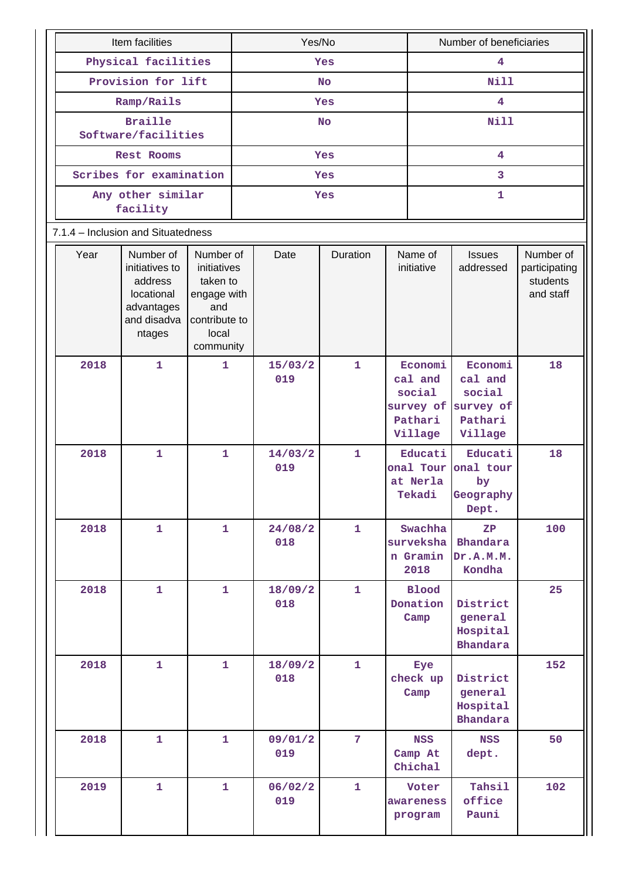| Item facilities                                                                                     | Yes/No                                                                                            |  |                |                | Number of beneficiaries |                                                    |                                                                           |                                                     |  |  |  |
|-----------------------------------------------------------------------------------------------------|---------------------------------------------------------------------------------------------------|--|----------------|----------------|-------------------------|----------------------------------------------------|---------------------------------------------------------------------------|-----------------------------------------------------|--|--|--|
| Physical facilities                                                                                 | Yes                                                                                               |  |                |                | 4                       |                                                    |                                                                           |                                                     |  |  |  |
|                                                                                                     | Provision for lift                                                                                |  |                | <b>No</b>      |                         |                                                    |                                                                           | <b>Nill</b>                                         |  |  |  |
|                                                                                                     | Ramp/Rails                                                                                        |  |                | Yes            |                         |                                                    | 4                                                                         |                                                     |  |  |  |
| <b>Braille</b><br>Software/facilities                                                               |                                                                                                   |  |                | <b>No</b>      |                         |                                                    | <b>Nill</b>                                                               |                                                     |  |  |  |
| Rest Rooms                                                                                          |                                                                                                   |  |                | Yes            |                         |                                                    | $\overline{\mathbf{4}}$                                                   |                                                     |  |  |  |
| Scribes for examination                                                                             |                                                                                                   |  |                | Yes            |                         |                                                    | 3                                                                         |                                                     |  |  |  |
| Any other similar<br>facility                                                                       |                                                                                                   |  |                | Yes            |                         |                                                    | $\mathbf{1}$                                                              |                                                     |  |  |  |
| 7.1.4 - Inclusion and Situatedness                                                                  |                                                                                                   |  |                |                |                         |                                                    |                                                                           |                                                     |  |  |  |
| Year<br>Number of<br>initiatives to<br>address<br>locational<br>advantages<br>and disadva<br>ntages | Number of<br>initiatives<br>taken to<br>engage with<br>and<br>contribute to<br>local<br>community |  | Date           | Duration       |                         | Name of<br>initiative                              | <b>Issues</b><br>addressed                                                | Number of<br>participating<br>students<br>and staff |  |  |  |
| 2018<br>$\mathbf{1}$                                                                                | 1                                                                                                 |  | 15/03/2<br>019 | $\mathbf{1}$   |                         | Economi<br>cal and<br>social<br>Pathari<br>Village | Economi<br>cal and<br>social<br>survey of survey of<br>Pathari<br>Village | 18                                                  |  |  |  |
| 2018<br>$\mathbf{1}$                                                                                | $\mathbf{1}$                                                                                      |  | 14/03/2<br>019 | $\mathbf{1}$   |                         | Educati<br>at Nerla<br>Tekadi                      | Educati<br>onal Tour onal tour<br>by<br>Geography<br>Dept.                | 18                                                  |  |  |  |
| 2018<br>$\mathbf{1}$                                                                                | $\mathbf{1}$                                                                                      |  | 24/08/2<br>018 | $\mathbf{1}$   |                         | Swachha<br>surveksha<br>n Gramin<br>2018           | $\mathbf{Z} \mathbf{P}$<br>Bhandara<br>Dr.A.M.M.<br>Kondha                | 100                                                 |  |  |  |
| 2018<br>$\mathbf{1}$                                                                                | $\mathbf{1}$                                                                                      |  | 18/09/2<br>018 | $\mathbf{1}$   |                         | <b>Blood</b><br>Donation<br>Camp                   | District<br>general<br>Hospital<br><b>Bhandara</b>                        | 25                                                  |  |  |  |
| 2018<br>$\mathbf{1}$                                                                                | $\mathbf{1}$                                                                                      |  | 18/09/2<br>018 | $\mathbf{1}$   |                         | Eye<br>check up<br>Camp                            | District<br>general<br>Hospital<br><b>Bhandara</b>                        | 152                                                 |  |  |  |
| 2018<br>$\mathbf{1}$                                                                                | $\mathbf{1}$                                                                                      |  | 09/01/2<br>019 | $\overline{7}$ |                         | <b>NSS</b><br>Camp At<br>Chichal                   | <b>NSS</b><br>dept.                                                       | 50                                                  |  |  |  |
| 2019<br>$\mathbf{1}$                                                                                | $\mathbf{1}$                                                                                      |  | 06/02/2<br>019 | $\mathbf{1}$   |                         | Voter<br>awareness<br>program                      | Tahsil<br>office<br>Pauni                                                 | 102                                                 |  |  |  |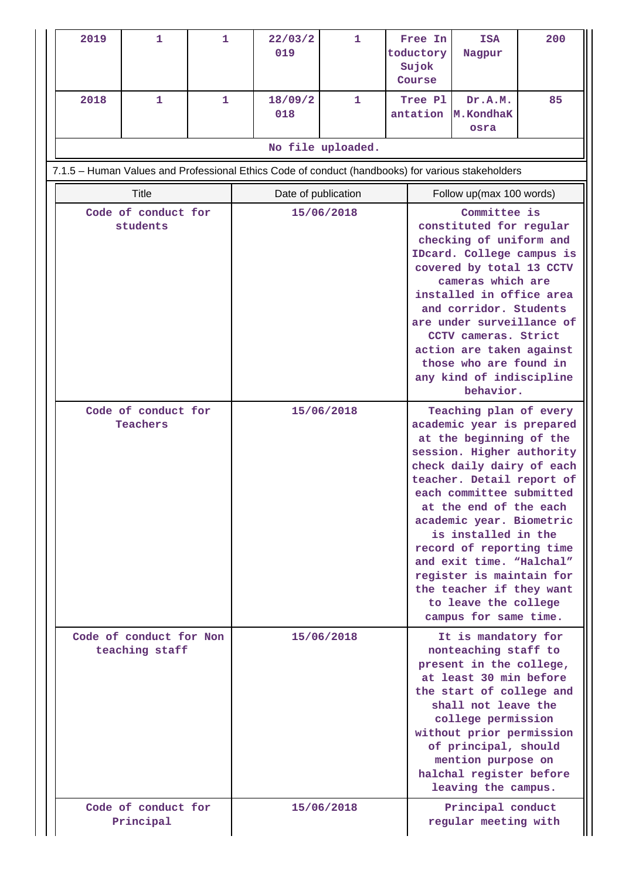| 2019                                                                                              | $\mathbf{1}$                              | 1 |  | 22/03/2<br>019 | $\mathbf{1}$        |                                                                                                                                                                                                                                                                                                                                            | Free In<br><b>ISA</b><br>toductory<br>Nagpur<br>Sujok<br>Course |                                                                                                                                                                                                                                                                                                                                                                                                                                                 | 200 |
|---------------------------------------------------------------------------------------------------|-------------------------------------------|---|--|----------------|---------------------|--------------------------------------------------------------------------------------------------------------------------------------------------------------------------------------------------------------------------------------------------------------------------------------------------------------------------------------------|-----------------------------------------------------------------|-------------------------------------------------------------------------------------------------------------------------------------------------------------------------------------------------------------------------------------------------------------------------------------------------------------------------------------------------------------------------------------------------------------------------------------------------|-----|
| 2018                                                                                              | 1                                         | 1 |  | 18/09/2<br>018 | 1                   |                                                                                                                                                                                                                                                                                                                                            | Tree Pl<br>antation                                             | Dr.A.M.<br>M.KondhaK<br>osra                                                                                                                                                                                                                                                                                                                                                                                                                    | 85  |
|                                                                                                   |                                           |   |  |                | No file uploaded.   |                                                                                                                                                                                                                                                                                                                                            |                                                                 |                                                                                                                                                                                                                                                                                                                                                                                                                                                 |     |
| 7.1.5 - Human Values and Professional Ethics Code of conduct (handbooks) for various stakeholders |                                           |   |  |                |                     |                                                                                                                                                                                                                                                                                                                                            |                                                                 |                                                                                                                                                                                                                                                                                                                                                                                                                                                 |     |
|                                                                                                   | <b>Title</b>                              |   |  |                | Date of publication |                                                                                                                                                                                                                                                                                                                                            |                                                                 | Follow up(max 100 words)                                                                                                                                                                                                                                                                                                                                                                                                                        |     |
| Code of conduct for<br>students                                                                   |                                           |   |  |                | 15/06/2018          | constituted for regular<br>checking of uniform and<br>IDcard. College campus is<br>covered by total 13 CCTV<br>cameras which are<br>installed in office area<br>and corridor. Students<br>are under surveillance of<br>CCTV cameras. Strict<br>action are taken against<br>those who are found in<br>any kind of indiscipline<br>behavior. |                                                                 |                                                                                                                                                                                                                                                                                                                                                                                                                                                 |     |
|                                                                                                   | Code of conduct for<br>Teachers           |   |  |                | 15/06/2018          |                                                                                                                                                                                                                                                                                                                                            |                                                                 | Teaching plan of every<br>academic year is prepared<br>at the beginning of the<br>session. Higher authority<br>check daily dairy of each<br>teacher. Detail report of<br>each committee submitted<br>at the end of the each<br>academic year. Biometric<br>is installed in the<br>record of reporting time<br>and exit time. "Halchal"<br>register is maintain for<br>the teacher if they want<br>to leave the college<br>campus for same time. |     |
|                                                                                                   | Code of conduct for Non<br>teaching staff |   |  |                | 15/06/2018          |                                                                                                                                                                                                                                                                                                                                            |                                                                 | It is mandatory for<br>nonteaching staff to<br>present in the college,<br>at least 30 min before<br>the start of college and<br>shall not leave the<br>college permission<br>without prior permission<br>of principal, should<br>mention purpose on<br>halchal register before<br>leaving the campus.                                                                                                                                           |     |
|                                                                                                   | Code of conduct for<br>Principal          |   |  |                | 15/06/2018          |                                                                                                                                                                                                                                                                                                                                            |                                                                 | Principal conduct<br>regular meeting with                                                                                                                                                                                                                                                                                                                                                                                                       |     |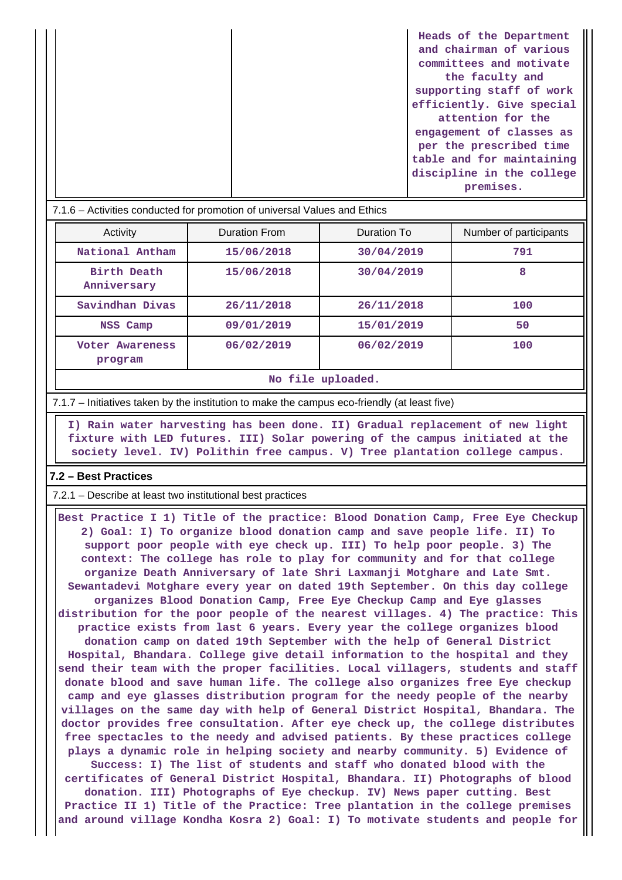| Heads of the Department   |
|---------------------------|
| and chairman of various   |
| committees and motivate   |
| the faculty and           |
| supporting staff of work  |
| efficiently. Give special |
| attention for the         |
| engagement of classes as  |
| per the prescribed time   |
| table and for maintaining |
| discipline in the college |
| premises.                 |
|                           |

| 7.1.6 – Activities conducted for promotion of universal Values and Ethics |               |             |                        |
|---------------------------------------------------------------------------|---------------|-------------|------------------------|
| Activity                                                                  | Duration From | Duration To | Number of participants |
| National Antham                                                           | 15/06/2018    | 30/04/2019  | 791                    |
| Birth Death<br>Anniversary                                                | 15/06/2018    | 30/04/2019  | 8                      |
| Savindhan Divas                                                           | 26/11/2018    | 26/11/2018  | 100                    |
| NSS Camp                                                                  | 09/01/2019    | 15/01/2019  | 50                     |
| Voter Awareness<br>program                                                | 06/02/2019    | 06/02/2019  | 100                    |
|                                                                           |               |             |                        |

**No file uploaded.**

7.1.7 – Initiatives taken by the institution to make the campus eco-friendly (at least five)

 **I) Rain water harvesting has been done. II) Gradual replacement of new light fixture with LED futures. III) Solar powering of the campus initiated at the society level. IV) Polithin free campus. V) Tree plantation college campus.**

### **7.2 – Best Practices**

7.2.1 – Describe at least two institutional best practices

 **Best Practice I 1) Title of the practice: Blood Donation Camp, Free Eye Checkup 2) Goal: I) To organize blood donation camp and save people life. II) To support poor people with eye check up. III) To help poor people. 3) The context: The college has role to play for community and for that college organize Death Anniversary of late Shri Laxmanji Motghare and Late Smt. Sewantadevi Motghare every year on dated 19th September. On this day college organizes Blood Donation Camp, Free Eye Checkup Camp and Eye glasses distribution for the poor people of the nearest villages. 4) The practice: This practice exists from last 6 years. Every year the college organizes blood donation camp on dated 19th September with the help of General District Hospital, Bhandara. College give detail information to the hospital and they send their team with the proper facilities. Local villagers, students and staff donate blood and save human life. The college also organizes free Eye checkup camp and eye glasses distribution program for the needy people of the nearby villages on the same day with help of General District Hospital, Bhandara. The doctor provides free consultation. After eye check up, the college distributes free spectacles to the needy and advised patients. By these practices college plays a dynamic role in helping society and nearby community. 5) Evidence of Success: I) The list of students and staff who donated blood with the certificates of General District Hospital, Bhandara. II) Photographs of blood donation. III) Photographs of Eye checkup. IV) News paper cutting. Best Practice II 1) Title of the Practice: Tree plantation in the college premises**

**and around village Kondha Kosra 2) Goal: I) To motivate students and people for**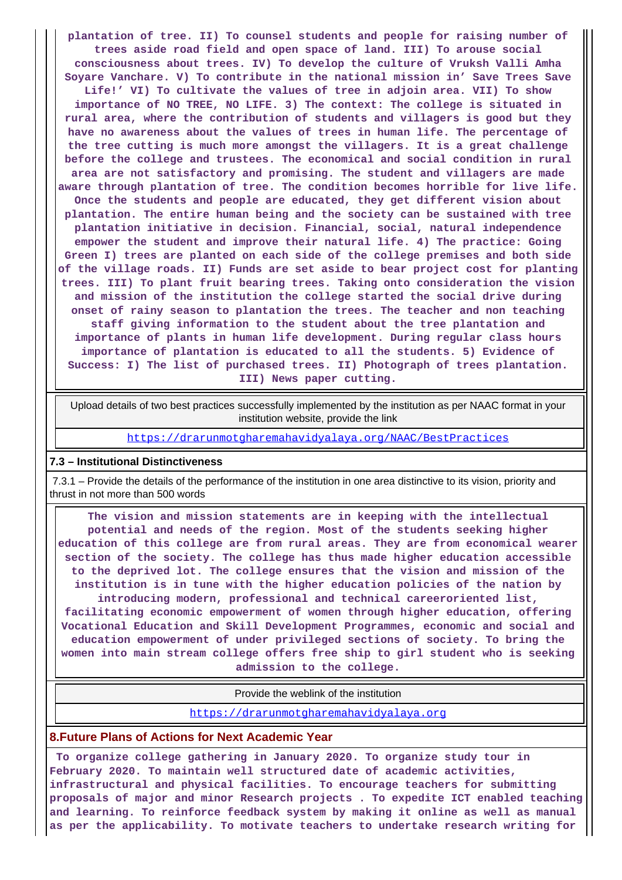**plantation of tree. II) To counsel students and people for raising number of trees aside road field and open space of land. III) To arouse social consciousness about trees. IV) To develop the culture of Vruksh Valli Amha Soyare Vanchare. V) To contribute in the national mission in' Save Trees Save Life!' VI) To cultivate the values of tree in adjoin area. VII) To show importance of NO TREE, NO LIFE. 3) The context: The college is situated in rural area, where the contribution of students and villagers is good but they have no awareness about the values of trees in human life. The percentage of the tree cutting is much more amongst the villagers. It is a great challenge before the college and trustees. The economical and social condition in rural area are not satisfactory and promising. The student and villagers are made aware through plantation of tree. The condition becomes horrible for live life. Once the students and people are educated, they get different vision about plantation. The entire human being and the society can be sustained with tree plantation initiative in decision. Financial, social, natural independence empower the student and improve their natural life. 4) The practice: Going Green I) trees are planted on each side of the college premises and both side of the village roads. II) Funds are set aside to bear project cost for planting trees. III) To plant fruit bearing trees. Taking onto consideration the vision and mission of the institution the college started the social drive during onset of rainy season to plantation the trees. The teacher and non teaching staff giving information to the student about the tree plantation and importance of plants in human life development. During regular class hours importance of plantation is educated to all the students. 5) Evidence of Success: I) The list of purchased trees. II) Photograph of trees plantation. III) News paper cutting.**

 Upload details of two best practices successfully implemented by the institution as per NAAC format in your institution website, provide the link

<https://drarunmotgharemahavidyalaya.org/NAAC/BestPractices>

#### **7.3 – Institutional Distinctiveness**

 7.3.1 – Provide the details of the performance of the institution in one area distinctive to its vision, priority and thrust in not more than 500 words

 **The vision and mission statements are in keeping with the intellectual potential and needs of the region. Most of the students seeking higher education of this college are from rural areas. They are from economical wearer section of the society. The college has thus made higher education accessible to the deprived lot. The college ensures that the vision and mission of the institution is in tune with the higher education policies of the nation by introducing modern, professional and technical careeroriented list,**

**facilitating economic empowerment of women through higher education, offering Vocational Education and Skill Development Programmes, economic and social and education empowerment of under privileged sections of society. To bring the women into main stream college offers free ship to girl student who is seeking admission to the college.**

Provide the weblink of the institution

<https://drarunmotgharemahavidyalaya.org>

### **8.Future Plans of Actions for Next Academic Year**

 **To organize college gathering in January 2020. To organize study tour in February 2020. To maintain well structured date of academic activities, infrastructural and physical facilities. To encourage teachers for submitting proposals of major and minor Research projects . To expedite ICT enabled teaching and learning. To reinforce feedback system by making it online as well as manual as per the applicability. To motivate teachers to undertake research writing for**